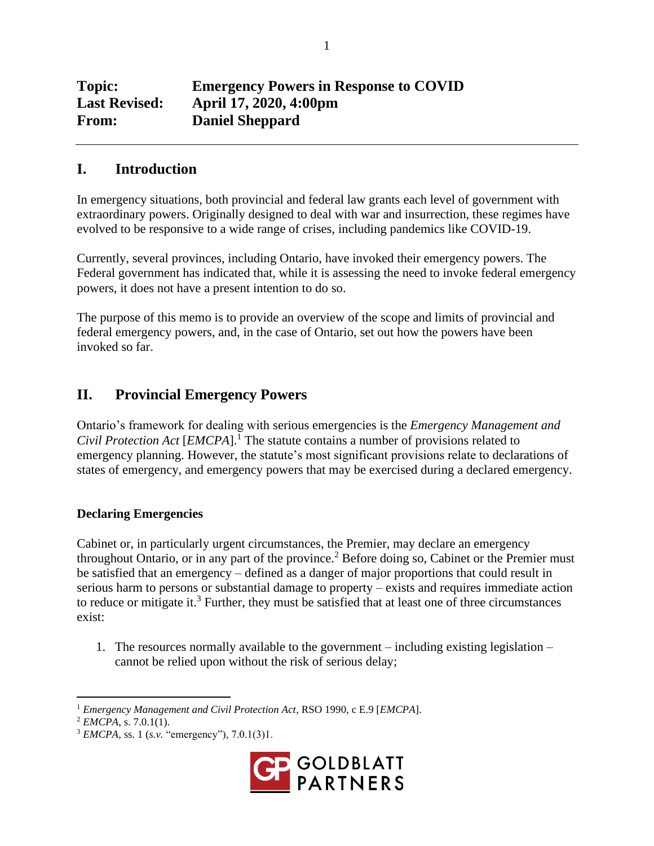| <b>Topic:</b>        | <b>Emergency Powers in Response to COVID</b> |
|----------------------|----------------------------------------------|
| <b>Last Revised:</b> | April 17, 2020, 4:00pm                       |
| <b>From:</b>         | <b>Daniel Sheppard</b>                       |

# **I. Introduction**

In emergency situations, both provincial and federal law grants each level of government with extraordinary powers. Originally designed to deal with war and insurrection, these regimes have evolved to be responsive to a wide range of crises, including pandemics like COVID-19.

Currently, several provinces, including Ontario, have invoked their emergency powers. The Federal government has indicated that, while it is assessing the need to invoke federal emergency powers, it does not have a present intention to do so.

The purpose of this memo is to provide an overview of the scope and limits of provincial and federal emergency powers, and, in the case of Ontario, set out how the powers have been invoked so far.

# **II. Provincial Emergency Powers**

Ontario's framework for dealing with serious emergencies is the *Emergency Management and Civil Protection Act* [*EMCPA*].<sup>I</sup> The statute contains a number of provisions related to emergency planning. However, the statute's most significant provisions relate to declarations of states of emergency, and emergency powers that may be exercised during a declared emergency.

## **Declaring Emergencies**

Cabinet or, in particularly urgent circumstances, the Premier, may declare an emergency throughout Ontario, or in any part of the province.<sup>2</sup> Before doing so, Cabinet or the Premier must be satisfied that an emergency – defined as a danger of major proportions that could result in serious harm to persons or substantial damage to property – exists and requires immediate action to reduce or mitigate it.<sup>3</sup> Further, they must be satisfied that at least one of three circumstances exist:

1. The resources normally available to the government – including existing legislation – cannot be relied upon without the risk of serious delay;

<sup>3</sup> *EMCPA*, ss. 1 (*s.v.* "emergency"), 7.0.1(3)1.



<sup>1</sup> *Emergency Management and Civil Protection Act*, RSO 1990, c E.9 [*EMCPA*].

<sup>2</sup> *EMCPA*, s. 7.0.1(1).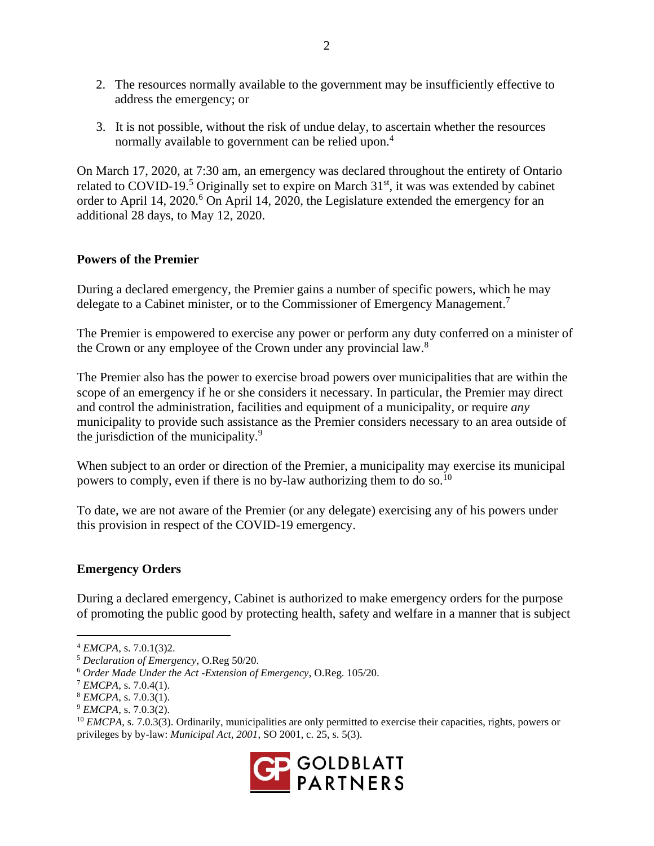- 2. The resources normally available to the government may be insufficiently effective to address the emergency; or
- 3. It is not possible, without the risk of undue delay, to ascertain whether the resources normally available to government can be relied upon.<sup>4</sup>

On March 17, 2020, at 7:30 am, an emergency was declared throughout the entirety of Ontario related to COVID-19.<sup>5</sup> Originally set to expire on March  $31<sup>st</sup>$ , it was was extended by cabinet order to April 14, 2020.<sup>6</sup> On April 14, 2020, the Legislature extended the emergency for an additional 28 days, to May 12, 2020.

## **Powers of the Premier**

During a declared emergency, the Premier gains a number of specific powers, which he may delegate to a Cabinet minister, or to the Commissioner of Emergency Management.<sup>7</sup>

The Premier is empowered to exercise any power or perform any duty conferred on a minister of the Crown or any employee of the Crown under any provincial law.<sup>8</sup>

The Premier also has the power to exercise broad powers over municipalities that are within the scope of an emergency if he or she considers it necessary. In particular, the Premier may direct and control the administration, facilities and equipment of a municipality, or require *any* municipality to provide such assistance as the Premier considers necessary to an area outside of the jurisdiction of the municipality.<sup>9</sup>

When subject to an order or direction of the Premier, a municipality may exercise its municipal powers to comply, even if there is no by-law authorizing them to do so.<sup>10</sup>

To date, we are not aware of the Premier (or any delegate) exercising any of his powers under this provision in respect of the COVID-19 emergency.

## **Emergency Orders**

During a declared emergency, Cabinet is authorized to make emergency orders for the purpose of promoting the public good by protecting health, safety and welfare in a manner that is subject

<sup>&</sup>lt;sup>10</sup> *EMCPA*, s. 7.0.3(3). Ordinarily, municipalities are only permitted to exercise their capacities, rights, powers or privileges by by-law: *Municipal Act, 2001*, SO 2001, c. 25, s. 5(3).



<sup>4</sup> *EMCPA*, s. 7.0.1(3)2.

<sup>5</sup> *Declaration of Emergency*, O.Reg 50/20.

<sup>6</sup> *Order Made Under the Act -Extension of Emergency*, O.Reg. 105/20.

 $^7$  *EMCPA*, s. 7.0.4(1).

<sup>8</sup> *EMCPA*, s. 7.0.3(1).

<sup>9</sup> *EMCPA*, s. 7.0.3(2).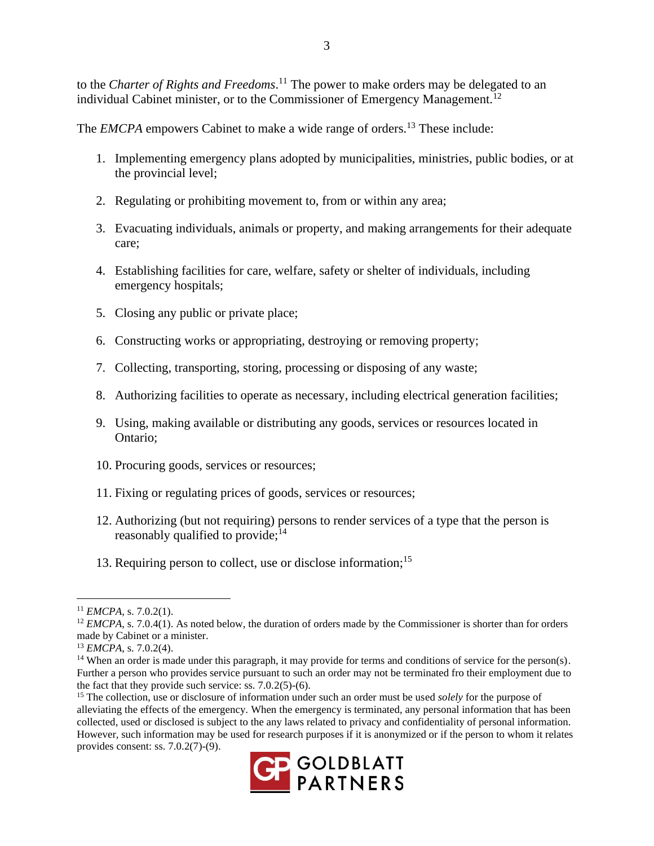to the *Charter of Rights and Freedoms*. <sup>11</sup> The power to make orders may be delegated to an individual Cabinet minister, or to the Commissioner of Emergency Management.<sup>12</sup>

The *EMCPA* empowers Cabinet to make a wide range of orders.<sup>13</sup> These include:

- 1. Implementing emergency plans adopted by municipalities, ministries, public bodies, or at the provincial level;
- 2. Regulating or prohibiting movement to, from or within any area;
- 3. Evacuating individuals, animals or property, and making arrangements for their adequate care;
- 4. Establishing facilities for care, welfare, safety or shelter of individuals, including emergency hospitals;
- 5. Closing any public or private place;
- 6. Constructing works or appropriating, destroying or removing property;
- 7. Collecting, transporting, storing, processing or disposing of any waste;
- 8. Authorizing facilities to operate as necessary, including electrical generation facilities;
- 9. Using, making available or distributing any goods, services or resources located in Ontario;
- 10. Procuring goods, services or resources;
- 11. Fixing or regulating prices of goods, services or resources;
- 12. Authorizing (but not requiring) persons to render services of a type that the person is reasonably qualified to provide; $^{14}$
- 13. Requiring person to collect, use or disclose information;<sup>15</sup>

<sup>15</sup> The collection, use or disclosure of information under such an order must be used *solely* for the purpose of alleviating the effects of the emergency. When the emergency is terminated, any personal information that has been collected, used or disclosed is subject to the any laws related to privacy and confidentiality of personal information. However, such information may be used for research purposes if it is anonymized or if the person to whom it relates provides consent: ss. 7.0.2(7)-(9).



<sup>11</sup> *EMCPA*, s. 7.0.2(1).

<sup>&</sup>lt;sup>12</sup> *EMCPA*, s. 7.0.4(1). As noted below, the duration of orders made by the Commissioner is shorter than for orders made by Cabinet or a minister.

<sup>13</sup> *EMCPA*, s. 7.0.2(4).

<sup>&</sup>lt;sup>14</sup> When an order is made under this paragraph, it may provide for terms and conditions of service for the person(s). Further a person who provides service pursuant to such an order may not be terminated fro their employment due to the fact that they provide such service: ss. 7.0.2(5)-(6).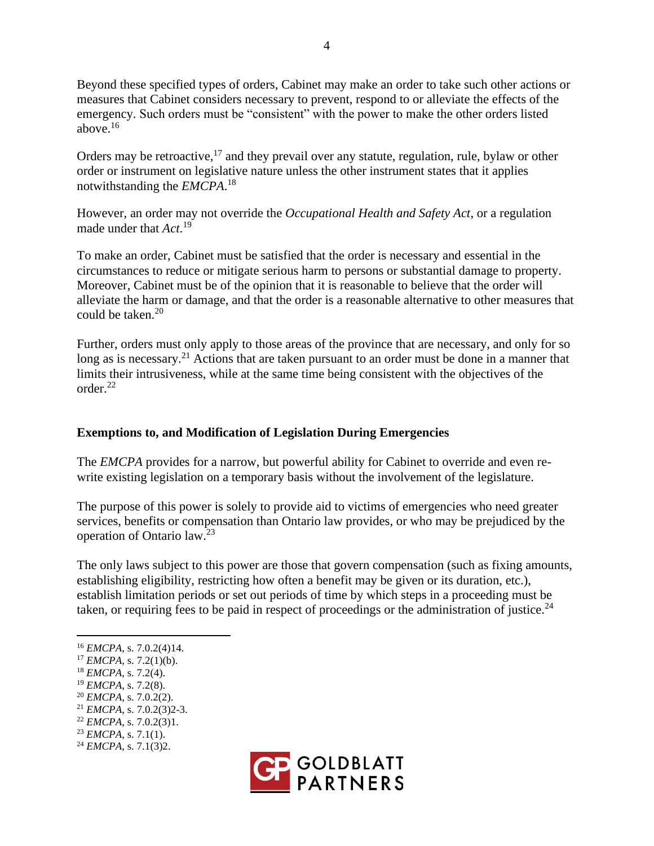Beyond these specified types of orders, Cabinet may make an order to take such other actions or measures that Cabinet considers necessary to prevent, respond to or alleviate the effects of the emergency. Such orders must be "consistent" with the power to make the other orders listed above. $16$ 

Orders may be retroactive,  $17$  and they prevail over any statute, regulation, rule, bylaw or other order or instrument on legislative nature unless the other instrument states that it applies notwithstanding the *EMCPA*. 18

However, an order may not override the *Occupational Health and Safety Act*, or a regulation made under that *Act*. 19

To make an order, Cabinet must be satisfied that the order is necessary and essential in the circumstances to reduce or mitigate serious harm to persons or substantial damage to property. Moreover, Cabinet must be of the opinion that it is reasonable to believe that the order will alleviate the harm or damage, and that the order is a reasonable alternative to other measures that could be taken. 20

Further, orders must only apply to those areas of the province that are necessary, and only for so long as is necessary.<sup>21</sup> Actions that are taken pursuant to an order must be done in a manner that limits their intrusiveness, while at the same time being consistent with the objectives of the order.<sup>22</sup>

## **Exemptions to, and Modification of Legislation During Emergencies**

The *EMCPA* provides for a narrow, but powerful ability for Cabinet to override and even rewrite existing legislation on a temporary basis without the involvement of the legislature.

The purpose of this power is solely to provide aid to victims of emergencies who need greater services, benefits or compensation than Ontario law provides, or who may be prejudiced by the operation of Ontario law.<sup>23</sup>

The only laws subject to this power are those that govern compensation (such as fixing amounts, establishing eligibility, restricting how often a benefit may be given or its duration, etc.), establish limitation periods or set out periods of time by which steps in a proceeding must be taken, or requiring fees to be paid in respect of proceedings or the administration of justice.<sup>24</sup>

- <sup>19</sup> *EMCPA*, s. 7.2(8).
- <sup>20</sup> *EMCPA*, s. 7.0.2(2).

- <sup>23</sup> *EMCPA*, s. 7.1(1).
- <sup>24</sup> *EMCPA*, s. 7.1(3)2.



<sup>16</sup> *EMCPA*, s. 7.0.2(4)14.

 $17$  *EMCPA*, s. 7.2(1)(b).

<sup>18</sup> *EMCPA*, s. 7.2(4).

<sup>21</sup> *EMCPA*, s. 7.0.2(3)2-3.

<sup>22</sup> *EMCPA*, s. 7.0.2(3)1.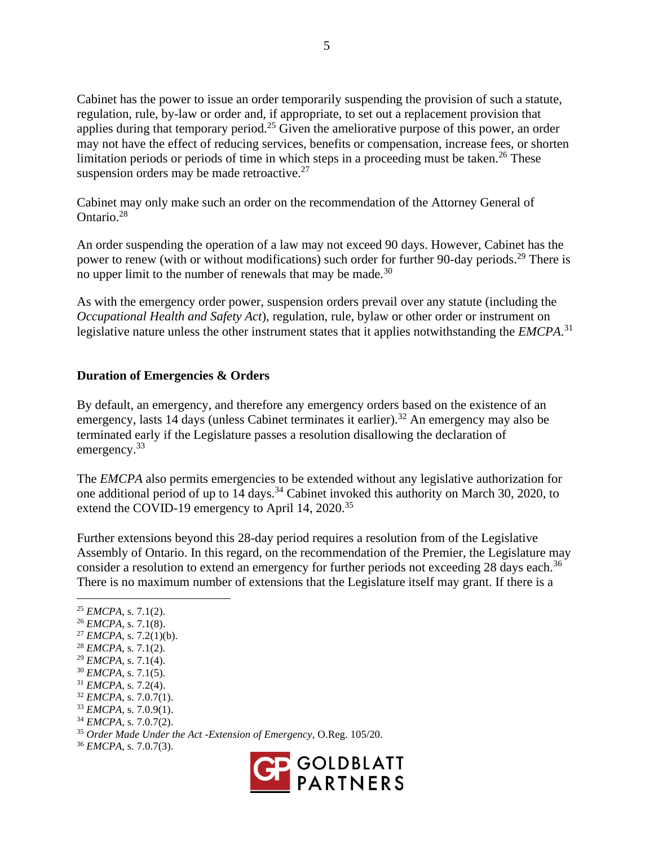Cabinet has the power to issue an order temporarily suspending the provision of such a statute, regulation, rule, by-law or order and, if appropriate, to set out a replacement provision that applies during that temporary period.<sup>25</sup> Given the ameliorative purpose of this power, an order may not have the effect of reducing services, benefits or compensation, increase fees, or shorten limitation periods or periods of time in which steps in a proceeding must be taken.<sup>26</sup> These suspension orders may be made retroactive. $27$ 

Cabinet may only make such an order on the recommendation of the Attorney General of Ontario.<sup>28</sup>

An order suspending the operation of a law may not exceed 90 days. However, Cabinet has the power to renew (with or without modifications) such order for further 90-day periods.<sup>29</sup> There is no upper limit to the number of renewals that may be made.<sup>30</sup>

As with the emergency order power, suspension orders prevail over any statute (including the *Occupational Health and Safety Act*), regulation, rule, bylaw or other order or instrument on legislative nature unless the other instrument states that it applies notwithstanding the *EMCPA*. 31

## **Duration of Emergencies & Orders**

By default, an emergency, and therefore any emergency orders based on the existence of an emergency, lasts 14 days (unless Cabinet terminates it earlier).<sup>32</sup> An emergency may also be terminated early if the Legislature passes a resolution disallowing the declaration of emergency.<sup>33</sup>

The *EMCPA* also permits emergencies to be extended without any legislative authorization for one additional period of up to 14 days.<sup>34</sup> Cabinet invoked this authority on March 30, 2020, to extend the COVID-19 emergency to April 14, 2020.<sup>35</sup>

Further extensions beyond this 28-day period requires a resolution from of the Legislative Assembly of Ontario. In this regard, on the recommendation of the Premier, the Legislature may consider a resolution to extend an emergency for further periods not exceeding 28 days each.<sup>36</sup> There is no maximum number of extensions that the Legislature itself may grant. If there is a

 *EMCPA*, s. 7.1(2). *EMCPA*, s. 7.1(8). *EMCPA*, s. 7.2(1)(b). *EMCPA*, s. 7.1(2). *EMCPA*, s. 7.1(4). *EMCPA*, s. 7.1(5). *EMCPA*, s. 7.2(4). *EMCPA*, s. 7.0.7(1). *EMCPA*, s. 7.0.9(1). *EMCPA*, s. 7.0.7(2). *Order Made Under the Act -Extension of Emergency*, O.Reg. 105/20. *EMCPA*, s. 7.0.7(3).

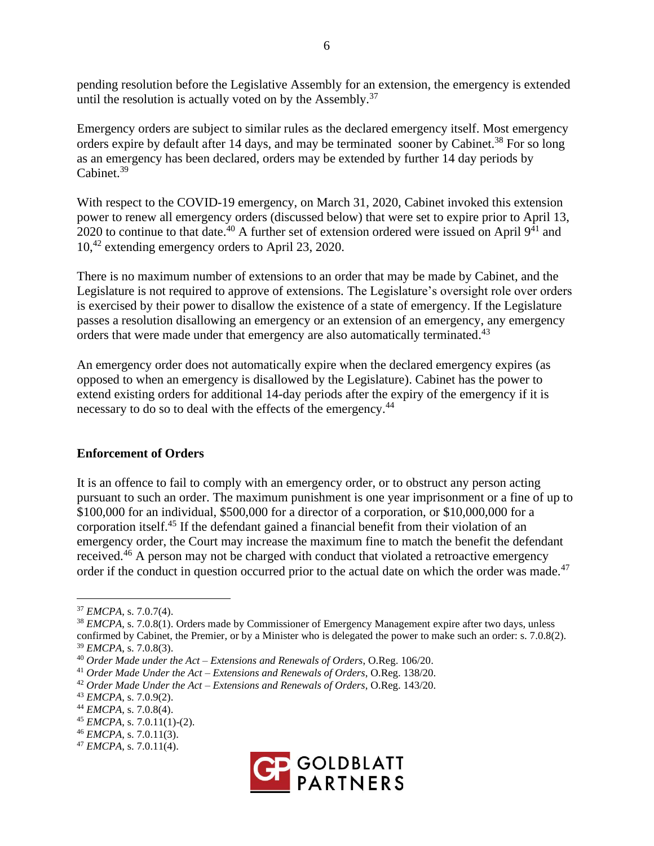pending resolution before the Legislative Assembly for an extension, the emergency is extended until the resolution is actually voted on by the Assembly.<sup>37</sup>

Emergency orders are subject to similar rules as the declared emergency itself. Most emergency orders expire by default after 14 days, and may be terminated sooner by Cabinet.<sup>38</sup> For so long as an emergency has been declared, orders may be extended by further 14 day periods by Cabinet<sup>39</sup>

With respect to the COVID-19 emergency, on March 31, 2020, Cabinet invoked this extension power to renew all emergency orders (discussed below) that were set to expire prior to April 13, 2020 to continue to that date.<sup>40</sup> A further set of extension ordered were issued on April  $9^{41}$  and 10,<sup>42</sup> extending emergency orders to April 23, 2020.

There is no maximum number of extensions to an order that may be made by Cabinet, and the Legislature is not required to approve of extensions. The Legislature's oversight role over orders is exercised by their power to disallow the existence of a state of emergency. If the Legislature passes a resolution disallowing an emergency or an extension of an emergency, any emergency orders that were made under that emergency are also automatically terminated.<sup>43</sup>

An emergency order does not automatically expire when the declared emergency expires (as opposed to when an emergency is disallowed by the Legislature). Cabinet has the power to extend existing orders for additional 14-day periods after the expiry of the emergency if it is necessary to do so to deal with the effects of the emergency.<sup>44</sup>

#### **Enforcement of Orders**

It is an offence to fail to comply with an emergency order, or to obstruct any person acting pursuant to such an order. The maximum punishment is one year imprisonment or a fine of up to \$100,000 for an individual, \$500,000 for a director of a corporation, or \$10,000,000 for a corporation itself.<sup>45</sup> If the defendant gained a financial benefit from their violation of an emergency order, the Court may increase the maximum fine to match the benefit the defendant received.<sup>46</sup> A person may not be charged with conduct that violated a retroactive emergency order if the conduct in question occurred prior to the actual date on which the order was made.<sup>47</sup>



<sup>37</sup> *EMCPA*, s. 7.0.7(4).

<sup>38</sup> *EMCPA*, s. 7.0.8(1). Orders made by Commissioner of Emergency Management expire after two days, unless confirmed by Cabinet, the Premier, or by a Minister who is delegated the power to make such an order: s. 7.0.8(2). <sup>39</sup> *EMCPA*, s. 7.0.8(3).

<sup>40</sup> *Order Made under the Act – Extensions and Renewals of Orders*, O.Reg. 106/20.

<sup>41</sup> *Order Made Under the Act – Extensions and Renewals of Orders*, O.Reg. 138/20.

<sup>42</sup> *Order Made Under the Act – Extensions and Renewals of Orders*, O.Reg. 143/20.

<sup>43</sup> *EMCPA*, s. 7.0.9(2).

<sup>44</sup> *EMCPA*, s. 7.0.8(4).

<sup>45</sup> *EMCPA*, s. 7.0.11(1)-(2).

<sup>46</sup> *EMCPA*, s. 7.0.11(3).

<sup>47</sup> *EMCPA*, s. 7.0.11(4).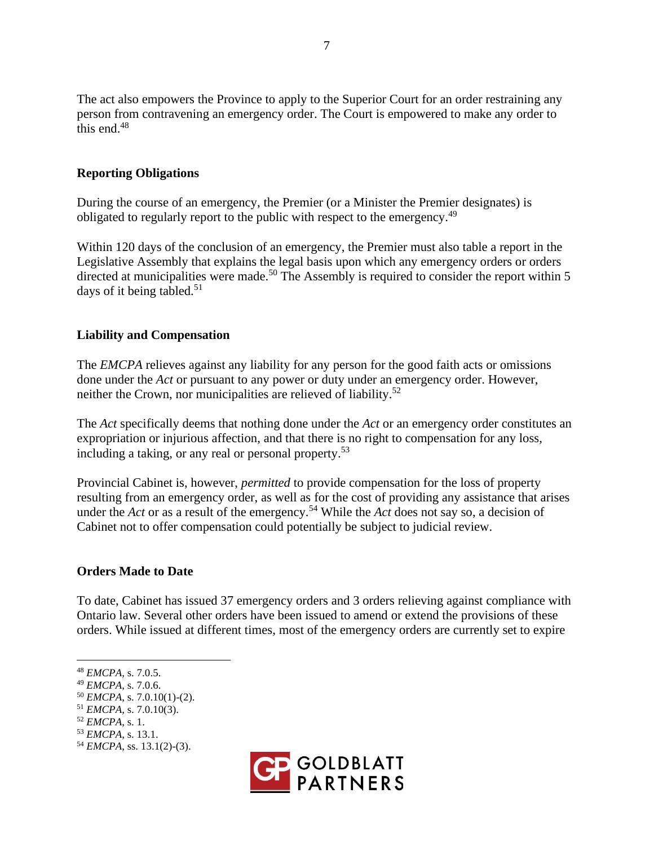The act also empowers the Province to apply to the Superior Court for an order restraining any person from contravening an emergency order. The Court is empowered to make any order to this end. $48$ 

## **Reporting Obligations**

During the course of an emergency, the Premier (or a Minister the Premier designates) is obligated to regularly report to the public with respect to the emergency.<sup>49</sup>

Within 120 days of the conclusion of an emergency, the Premier must also table a report in the Legislative Assembly that explains the legal basis upon which any emergency orders or orders directed at municipalities were made.<sup>50</sup> The Assembly is required to consider the report within 5 days of it being tabled.<sup>51</sup>

## **Liability and Compensation**

The *EMCPA* relieves against any liability for any person for the good faith acts or omissions done under the *Act* or pursuant to any power or duty under an emergency order. However, neither the Crown, nor municipalities are relieved of liability.<sup>52</sup>

The *Act* specifically deems that nothing done under the *Act* or an emergency order constitutes an expropriation or injurious affection, and that there is no right to compensation for any loss, including a taking, or any real or personal property.<sup>53</sup>

Provincial Cabinet is, however, *permitted* to provide compensation for the loss of property resulting from an emergency order, as well as for the cost of providing any assistance that arises under the *Act* or as a result of the emergency.<sup>54</sup> While the *Act* does not say so, a decision of Cabinet not to offer compensation could potentially be subject to judicial review.

#### **Orders Made to Date**

To date, Cabinet has issued 37 emergency orders and 3 orders relieving against compliance with Ontario law. Several other orders have been issued to amend or extend the provisions of these orders. While issued at different times, most of the emergency orders are currently set to expire



<sup>48</sup> *EMCPA*, s. 7.0.5.

<sup>49</sup> *EMCPA*, s. 7.0.6.

<sup>50</sup> *EMCPA*, s. 7.0.10(1)-(2).

<sup>51</sup> *EMCPA*, s. 7.0.10(3).

<sup>52</sup> *EMCPA*, s. 1.

<sup>53</sup> *EMCPA*, s. 13.1.

<sup>54</sup> *EMCPA*, ss. 13.1(2)-(3).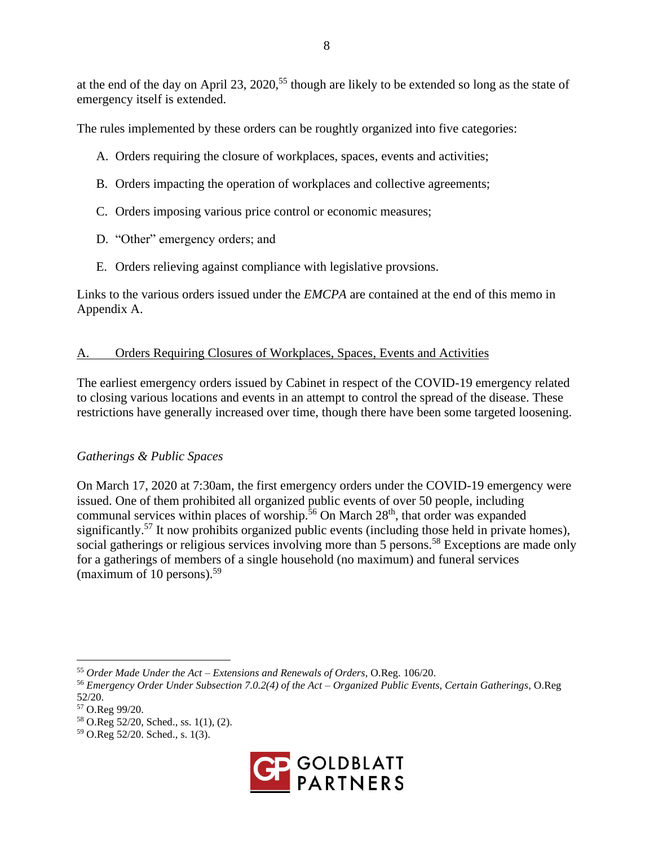at the end of the day on April 23, 2020,<sup>55</sup> though are likely to be extended so long as the state of emergency itself is extended.

The rules implemented by these orders can be roughtly organized into five categories:

- A. Orders requiring the closure of workplaces, spaces, events and activities;
- B. Orders impacting the operation of workplaces and collective agreements;
- C. Orders imposing various price control or economic measures;
- D. "Other" emergency orders; and
- E. Orders relieving against compliance with legislative provsions.

Links to the various orders issued under the *EMCPA* are contained at the end of this memo in Appendix A.

## A. Orders Requiring Closures of Workplaces, Spaces, Events and Activities

The earliest emergency orders issued by Cabinet in respect of the COVID-19 emergency related to closing various locations and events in an attempt to control the spread of the disease. These restrictions have generally increased over time, though there have been some targeted loosening.

## *Gatherings & Public Spaces*

On March 17, 2020 at 7:30am, the first emergency orders under the COVID-19 emergency were issued. One of them prohibited all organized public events of over 50 people, including communal services within places of worship.<sup>56</sup> On March  $28<sup>th</sup>$ , that order was expanded significantly.<sup>57</sup> It now prohibits organized public events (including those held in private homes), social gatherings or religious services involving more than 5 persons.<sup>58</sup> Exceptions are made only for a gatherings of members of a single household (no maximum) and funeral services (maximum of 10 persons).<sup>59</sup>

<sup>59</sup> O.Reg 52/20. Sched., s. 1(3).



<sup>55</sup> *Order Made Under the Act – Extensions and Renewals of Orders*, O.Reg. 106/20.

<sup>56</sup> *Emergency Order Under Subsection 7.0.2(4) of the Act – Organized Public Events, Certain Gatherings*, O.Reg 52/20.

<sup>57</sup> O.Reg 99/20.

<sup>58</sup> O.Reg 52/20, Sched., ss. 1(1), (2).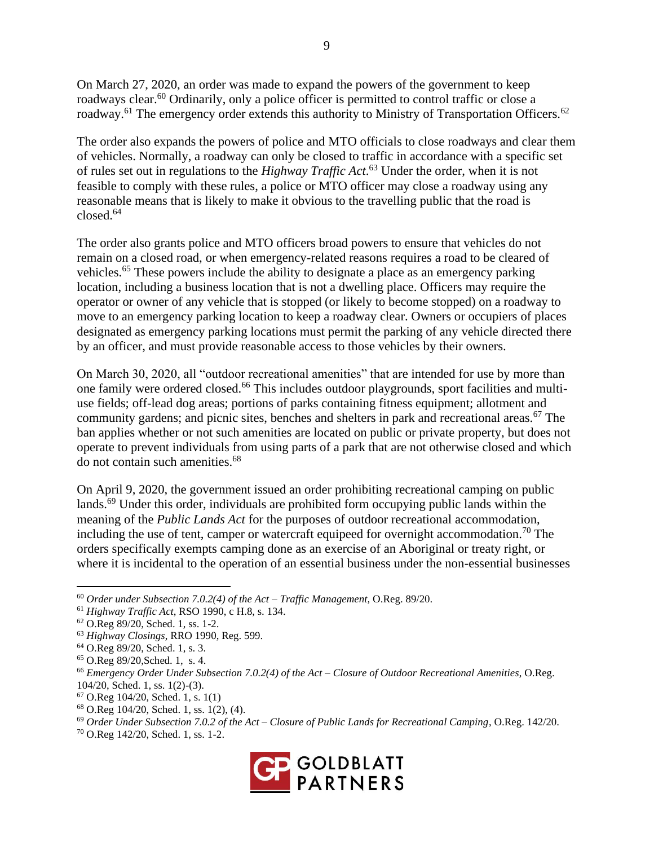On March 27, 2020, an order was made to expand the powers of the government to keep roadways clear.<sup>60</sup> Ordinarily, only a police officer is permitted to control traffic or close a roadway.<sup>61</sup> The emergency order extends this authority to Ministry of Transportation Officers.<sup>62</sup>

The order also expands the powers of police and MTO officials to close roadways and clear them of vehicles. Normally, a roadway can only be closed to traffic in accordance with a specific set of rules set out in regulations to the *Highway Traffic Act*. <sup>63</sup> Under the order, when it is not feasible to comply with these rules, a police or MTO officer may close a roadway using any reasonable means that is likely to make it obvious to the travelling public that the road is closed.<sup>64</sup>

The order also grants police and MTO officers broad powers to ensure that vehicles do not remain on a closed road, or when emergency-related reasons requires a road to be cleared of vehicles.<sup>65</sup> These powers include the ability to designate a place as an emergency parking location, including a business location that is not a dwelling place. Officers may require the operator or owner of any vehicle that is stopped (or likely to become stopped) on a roadway to move to an emergency parking location to keep a roadway clear. Owners or occupiers of places designated as emergency parking locations must permit the parking of any vehicle directed there by an officer, and must provide reasonable access to those vehicles by their owners.

On March 30, 2020, all "outdoor recreational amenities" that are intended for use by more than one family were ordered closed.<sup>66</sup> This includes outdoor playgrounds, sport facilities and multiuse fields; off-lead dog areas; portions of parks containing fitness equipment; allotment and community gardens; and picnic sites, benches and shelters in park and recreational areas.<sup>67</sup> The ban applies whether or not such amenities are located on public or private property, but does not operate to prevent individuals from using parts of a park that are not otherwise closed and which do not contain such amenities.<sup>68</sup>

On April 9, 2020, the government issued an order prohibiting recreational camping on public lands.<sup>69</sup> Under this order, individuals are prohibited form occupying public lands within the meaning of the *Public Lands Act* for the purposes of outdoor recreational accommodation, including the use of tent, camper or watercraft equipeed for overnight accommodation.<sup>70</sup> The orders specifically exempts camping done as an exercise of an Aboriginal or treaty right, or where it is incidental to the operation of an essential business under the non-essential businesses

<sup>70</sup> O.Reg 142/20, Sched. 1, ss. 1-2.



<sup>60</sup> *Order under Subsection 7.0.2(4) of the Act – Traffic Management*, O.Reg. 89/20.

<sup>61</sup> *Highway Traffic Act*, RSO 1990, c H.8, s. 134.

<sup>62</sup> O.Reg 89/20, Sched. 1, ss. 1-2.

<sup>63</sup> *Highway Closings*, RRO 1990, Reg. 599.

<sup>64</sup> O.Reg 89/20, Sched. 1, s. 3.

<sup>65</sup> O.Reg 89/20,Sched. 1, s. 4.

<sup>66</sup> *Emergency Order Under Subsection 7.0.2(4) of the Act – Closure of Outdoor Recreational Amenities*, O.Reg. 104/20, Sched. 1, ss. 1(2)-(3).

<sup>67</sup> O.Reg 104/20, Sched. 1, s. 1(1)

<sup>68</sup> O.Reg 104/20, Sched. 1, ss. 1(2), (4).

<sup>69</sup> *Order Under Subsection 7.0.2 of the Act – Closure of Public Lands for Recreational Camping*, O.Reg. 142/20.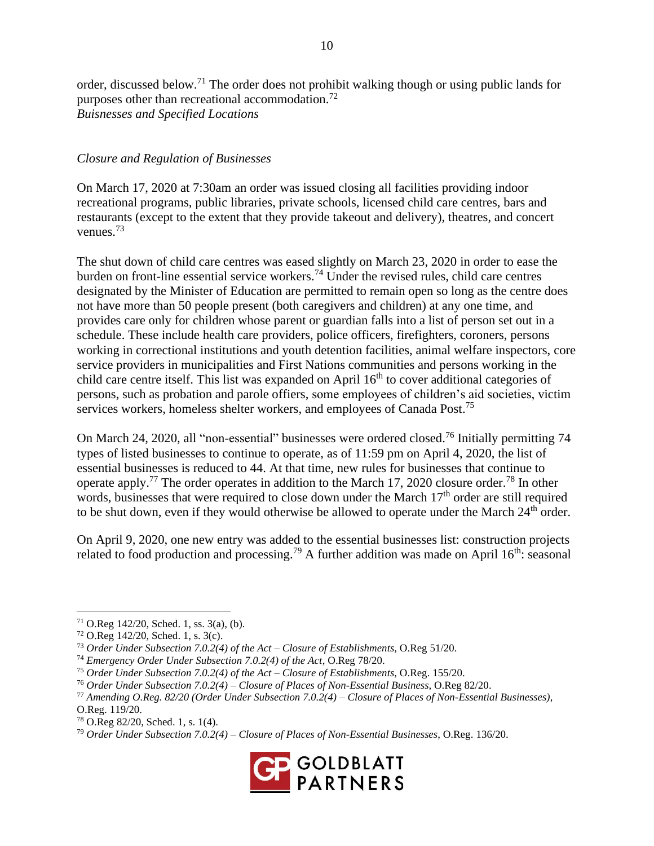order, discussed below.<sup>71</sup> The order does not prohibit walking though or using public lands for purposes other than recreational accommodation.<sup>72</sup> *Buisnesses and Specified Locations*

#### *Closure and Regulation of Businesses*

On March 17, 2020 at 7:30am an order was issued closing all facilities providing indoor recreational programs, public libraries, private schools, licensed child care centres, bars and restaurants (except to the extent that they provide takeout and delivery), theatres, and concert venues.<sup>73</sup>

The shut down of child care centres was eased slightly on March 23, 2020 in order to ease the burden on front-line essential service workers. <sup>74</sup> Under the revised rules, child care centres designated by the Minister of Education are permitted to remain open so long as the centre does not have more than 50 people present (both caregivers and children) at any one time, and provides care only for children whose parent or guardian falls into a list of person set out in a schedule. These include health care providers, police officers, firefighters, coroners, persons working in correctional institutions and youth detention facilities, animal welfare inspectors, core service providers in municipalities and First Nations communities and persons working in the child care centre itself. This list was expanded on April 16<sup>th</sup> to cover additional categories of persons, such as probation and parole offiers, some employees of children's aid societies, victim services workers, homeless shelter workers, and employees of Canada Post.<sup>75</sup>

On March 24, 2020, all "non-essential" businesses were ordered closed.<sup>76</sup> Initially permitting 74 types of listed businesses to continue to operate, as of 11:59 pm on April 4, 2020, the list of essential businesses is reduced to 44. At that time, new rules for businesses that continue to operate apply.<sup>77</sup> The order operates in addition to the March 17, 2020 closure order.<sup>78</sup> In other words, businesses that were required to close down under the March  $17<sup>th</sup>$  order are still required to be shut down, even if they would otherwise be allowed to operate under the March  $24<sup>th</sup>$  order.

On April 9, 2020, one new entry was added to the essential businesses list: construction projects related to food production and processing.<sup>79</sup> A further addition was made on April  $16<sup>th</sup>$ : seasonal

<sup>79</sup> *Order Under Subsection 7.0.2(4) – Closure of Places of Non-Essential Businesses*, O.Reg. 136/20.



 $71$  O.Reg 142/20, Sched. 1, ss. 3(a), (b).

<sup>72</sup> O.Reg 142/20, Sched. 1, s. 3(c).

<sup>73</sup> *Order Under Subsection 7.0.2(4) of the Act – Closure of Establishments*, O.Reg 51/20.

<sup>74</sup> *Emergency Order Under Subsection 7.0.2(4) of the Act*, O.Reg 78/20.

<sup>75</sup> *Order Under Subsection 7.0.2(4) of the Act – Closure of Establishments*, O.Reg. 155/20.

<sup>76</sup> *Order Under Subsection 7.0.2(4) – Closure of Places of Non-Essential Business*, O.Reg 82/20.

<sup>77</sup> *Amending O.Reg. 82/20 (Order Under Subsection 7.0.2(4) – Closure of Places of Non-Essential Businesses)*,

O.Reg. 119/20.

<sup>78</sup> O.Reg 82/20, Sched. 1, s. 1(4).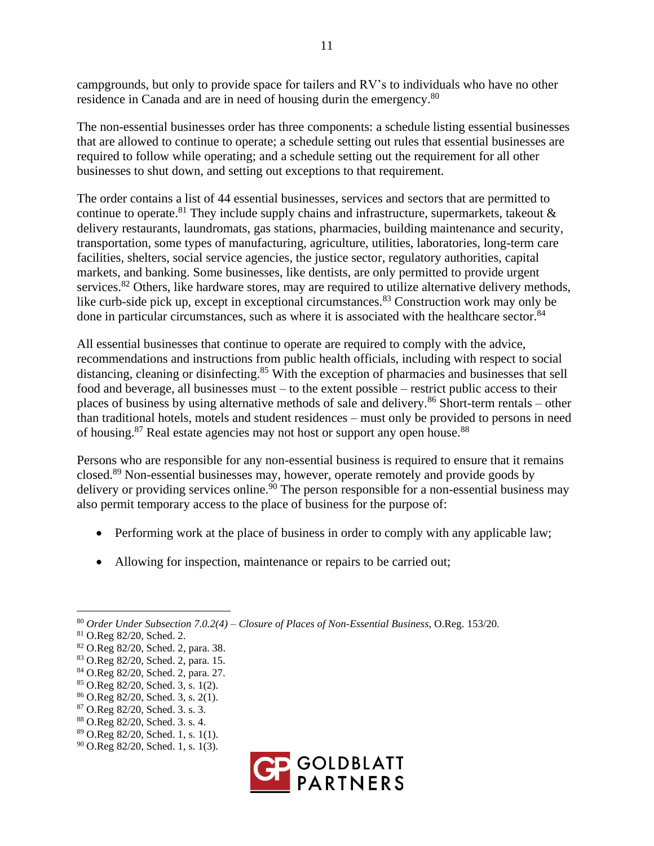campgrounds, but only to provide space for tailers and RV's to individuals who have no other residence in Canada and are in need of housing durin the emergency.<sup>80</sup>

The non-essential businesses order has three components: a schedule listing essential businesses that are allowed to continue to operate; a schedule setting out rules that essential businesses are required to follow while operating; and a schedule setting out the requirement for all other businesses to shut down, and setting out exceptions to that requirement.

The order contains a list of 44 essential businesses, services and sectors that are permitted to continue to operate.<sup>81</sup> They include supply chains and infrastructure, supermarkets, takeout  $\&$ delivery restaurants, laundromats, gas stations, pharmacies, building maintenance and security, transportation, some types of manufacturing, agriculture, utilities, laboratories, long-term care facilities, shelters, social service agencies, the justice sector, regulatory authorities, capital markets, and banking. Some businesses, like dentists, are only permitted to provide urgent services.<sup>82</sup> Others, like hardware stores, may are required to utilize alternative delivery methods, like curb-side pick up, except in exceptional circumstances.<sup>83</sup> Construction work may only be done in particular circumstances, such as where it is associated with the healthcare sector.<sup>84</sup>

All essential businesses that continue to operate are required to comply with the advice, recommendations and instructions from public health officials, including with respect to social distancing, cleaning or disinfecting.<sup>85</sup> With the exception of pharmacies and businesses that sell food and beverage, all businesses must – to the extent possible – restrict public access to their places of business by using alternative methods of sale and delivery.<sup>86</sup> Short-term rentals – other than traditional hotels, motels and student residences – must only be provided to persons in need of housing.<sup>87</sup> Real estate agencies may not host or support any open house.<sup>88</sup>

Persons who are responsible for any non-essential business is required to ensure that it remains closed. <sup>89</sup> Non-essential businesses may, however, operate remotely and provide goods by delivery or providing services online.<sup>90</sup> The person responsible for a non-essential business may also permit temporary access to the place of business for the purpose of:

- Performing work at the place of business in order to comply with any applicable law;
- Allowing for inspection, maintenance or repairs to be carried out;

<sup>90</sup> O.Reg 82/20, Sched. 1, s. 1(3).



<sup>80</sup> *Order Under Subsection 7.0.2(4) – Closure of Places of Non-Essential Business*, O.Reg. 153/20.

<sup>81</sup> O.Reg 82/20, Sched. 2.

<sup>82</sup> O.Reg 82/20, Sched. 2, para. 38.

<sup>83</sup> O.Reg 82/20, Sched. 2, para. 15.

<sup>84</sup> O.Reg 82/20, Sched. 2, para. 27.

<sup>85</sup> O.Reg 82/20, Sched. 3, s. 1(2).

<sup>86</sup> O.Reg 82/20, Sched. 3, s. 2(1).

<sup>87</sup> O.Reg 82/20, Sched. 3. s. 3.

<sup>88</sup> O.Reg 82/20, Sched. 3. s. 4.

<sup>89</sup> O.Reg 82/20, Sched. 1, s. 1(1).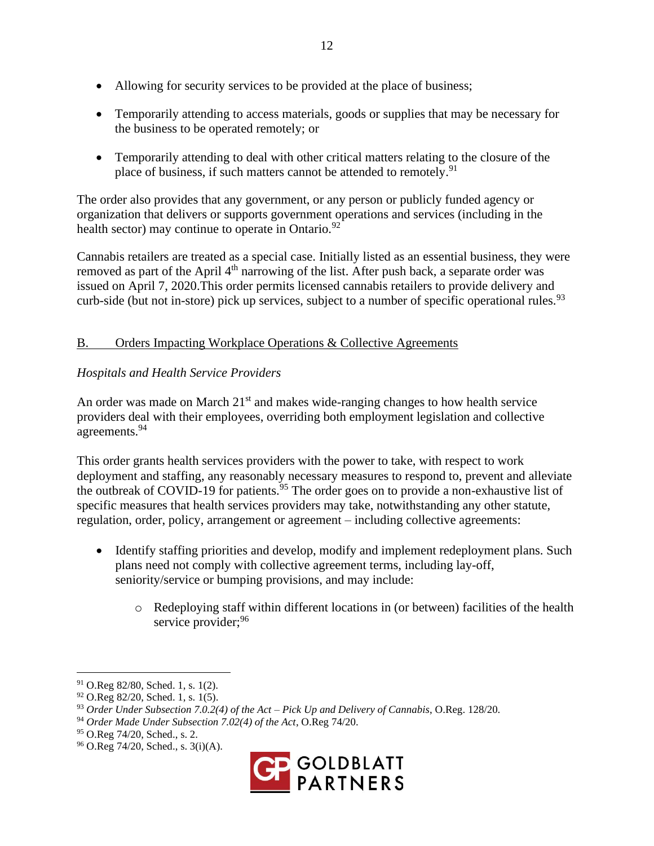- Allowing for security services to be provided at the place of business;
- Temporarily attending to access materials, goods or supplies that may be necessary for the business to be operated remotely; or
- Temporarily attending to deal with other critical matters relating to the closure of the place of business, if such matters cannot be attended to remotely.<sup>91</sup>

The order also provides that any government, or any person or publicly funded agency or organization that delivers or supports government operations and services (including in the health sector) may continue to operate in Ontario. $92$ 

Cannabis retailers are treated as a special case. Initially listed as an essential business, they were removed as part of the April 4<sup>th</sup> narrowing of the list. After push back, a separate order was issued on April 7, 2020.This order permits licensed cannabis retailers to provide delivery and curb-side (but not in-store) pick up services, subject to a number of specific operational rules.  $93$ 

# B. Orders Impacting Workplace Operations & Collective Agreements

# *Hospitals and Health Service Providers*

An order was made on March  $21<sup>st</sup>$  and makes wide-ranging changes to how health service providers deal with their employees, overriding both employment legislation and collective agreements.<sup>94</sup>

This order grants health services providers with the power to take, with respect to work deployment and staffing, any reasonably necessary measures to respond to, prevent and alleviate the outbreak of COVID-19 for patients.<sup>95</sup> The order goes on to provide a non-exhaustive list of specific measures that health services providers may take, notwithstanding any other statute, regulation, order, policy, arrangement or agreement – including collective agreements:

- Identify staffing priorities and develop, modify and implement redeployment plans. Such plans need not comply with collective agreement terms, including lay-off, seniority/service or bumping provisions, and may include:
	- $\circ$  Redeploying staff within different locations in (or between) facilities of the health service provider; 96

<sup>96</sup> O.Reg 74/20, Sched., s. 3(i)(A).



<sup>91</sup> O.Reg 82/80, Sched. 1, s. 1(2).

 $92$  O.Reg 82/20, Sched. 1, s. 1(5).

<sup>93</sup> *Order Under Subsection 7.0.2(4) of the Act – Pick Up and Delivery of Cannabis*, O.Reg. 128/20.

<sup>94</sup> *Order Made Under Subsection 7.02(4) of the Act*, O.Reg 74/20.

<sup>95</sup> O.Reg 74/20, Sched., s. 2.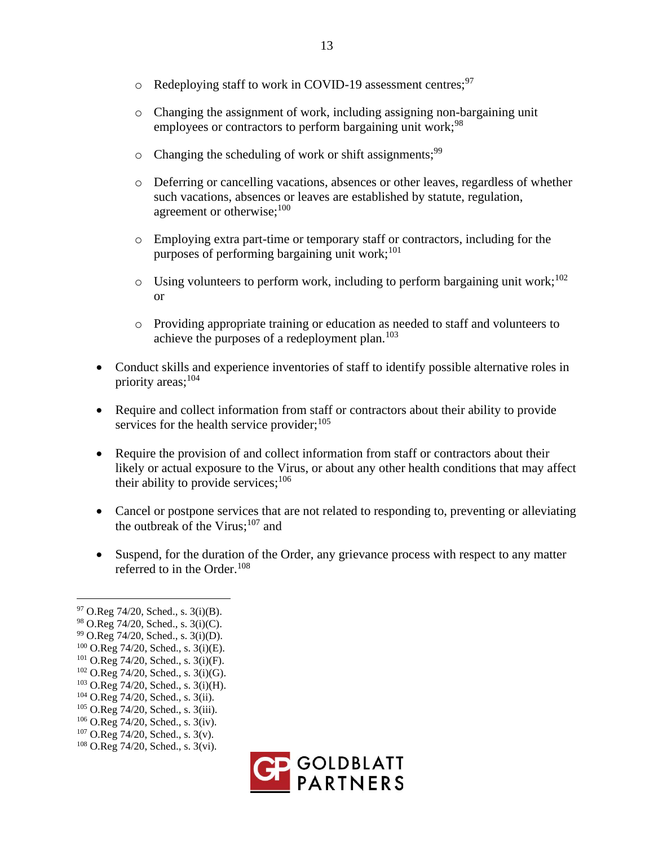- $\circ$  Redeploying staff to work in COVID-19 assessment centres;<sup>97</sup>
- $\circ$  Changing the assignment of work, including assigning non-bargaining unit employees or contractors to perform bargaining unit work;<sup>98</sup>
- $\circ$  Changing the scheduling of work or shift assignments;<sup>99</sup>
- o Deferring or cancelling vacations, absences or other leaves, regardless of whether such vacations, absences or leaves are established by statute, regulation, agreement or otherwise: $100$
- o Employing extra part-time or temporary staff or contractors, including for the purposes of performing bargaining unit work;  $101$
- $\circ$  Using volunteers to perform work, including to perform bargaining unit work;<sup>102</sup> or
- o Providing appropriate training or education as needed to staff and volunteers to achieve the purposes of a redeployment plan.<sup>103</sup>
- Conduct skills and experience inventories of staff to identify possible alternative roles in priority areas; $104$
- Require and collect information from staff or contractors about their ability to provide services for the health service provider;  $105$
- Require the provision of and collect information from staff or contractors about their likely or actual exposure to the Virus, or about any other health conditions that may affect their ability to provide services;  $106$
- Cancel or postpone services that are not related to responding to, preventing or alleviating the outbreak of the Virus;<sup>107</sup> and
- Suspend, for the duration of the Order, any grievance process with respect to any matter referred to in the Order. $108$

- <sup>106</sup> O.Reg 74/20, Sched., s. 3(iv).
- <sup>107</sup> O.Reg 74/20, Sched., s. 3(v).
- <sup>108</sup> O.Reg 74/20, Sched., s. 3(vi).



 $97$  O.Reg 74/20, Sched., s. 3(i)(B).

<sup>98</sup> O.Reg 74/20, Sched., s. 3(i)(C).

<sup>99</sup> O.Reg 74/20, Sched., s. 3(i)(D).

<sup>100</sup> O.Reg 74/20, Sched., s. 3(i)(E).

<sup>101</sup> O.Reg 74/20, Sched., s. 3(i)(F).

<sup>102</sup> O.Reg 74/20, Sched., s. 3(i)(G).

<sup>103</sup> O.Reg 74/20, Sched., s. 3(i)(H).

<sup>104</sup> O.Reg 74/20, Sched., s. 3(ii).

<sup>105</sup> O.Reg 74/20, Sched., s. 3(iii).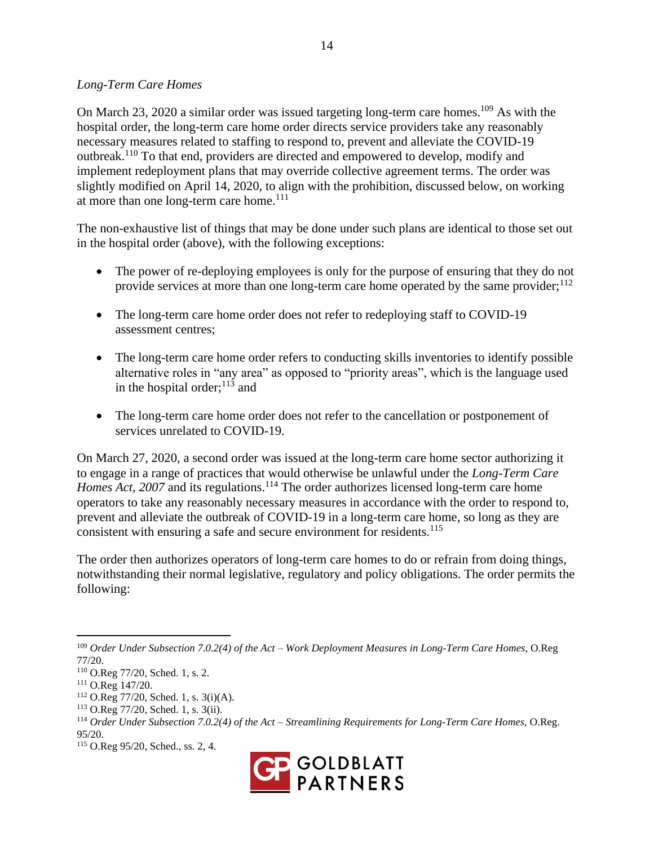#### *Long-Term Care Homes*

On March 23, 2020 a similar order was issued targeting long-term care homes.<sup>109</sup> As with the hospital order, the long-term care home order directs service providers take any reasonably necessary measures related to staffing to respond to, prevent and alleviate the COVID-19 outbreak.<sup>110</sup> To that end, providers are directed and empowered to develop, modify and implement redeployment plans that may override collective agreement terms. The order was slightly modified on April 14, 2020, to align with the prohibition, discussed below, on working at more than one long-term care home.<sup>111</sup>

The non-exhaustive list of things that may be done under such plans are identical to those set out in the hospital order (above), with the following exceptions:

- The power of re-deploying employees is only for the purpose of ensuring that they do not provide services at more than one long-term care home operated by the same provider;  $^{112}$
- The long-term care home order does not refer to redeploying staff to COVID-19 assessment centres;
- The long-term care home order refers to conducting skills inventories to identify possible alternative roles in "any area" as opposed to "priority areas", which is the language used in the hospital order; $^{113}$  and
- The long-term care home order does not refer to the cancellation or postponement of services unrelated to COVID-19.

On March 27, 2020, a second order was issued at the long-term care home sector authorizing it to engage in a range of practices that would otherwise be unlawful under the *Long-Term Care Homes Act, 2007* and its regulations.<sup>114</sup> The order authorizes licensed long-term care home operators to take any reasonably necessary measures in accordance with the order to respond to, prevent and alleviate the outbreak of COVID-19 in a long-term care home, so long as they are consistent with ensuring a safe and secure environment for residents.<sup>115</sup>

The order then authorizes operators of long-term care homes to do or refrain from doing things, notwithstanding their normal legislative, regulatory and policy obligations. The order permits the following:

<sup>115</sup> O.Reg 95/20, Sched., ss. 2, 4.



<sup>109</sup> *Order Under Subsection 7.0.2(4) of the Act – Work Deployment Measures in Long-Term Care Homes*, O.Reg 77/20.

<sup>110</sup> O.Reg 77/20, Sched. 1, s. 2.

<sup>111</sup> O.Reg 147/20.

<sup>112</sup> O.Reg 77/20, Sched. 1, s. 3(i)(A).

<sup>113</sup> O.Reg 77/20, Sched. 1, s. 3(ii).

<sup>114</sup> *Order Under Subsection 7.0.2(4) of the Act – Streamlining Requirements for Long-Term Care Homes*, O.Reg. 95/20.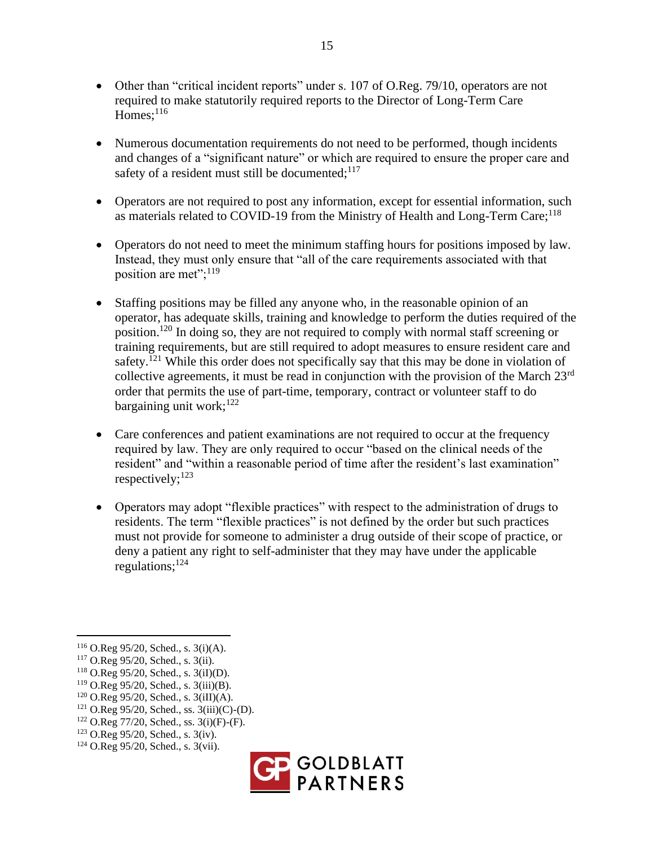- Other than "critical incident reports" under s. 107 of O.Reg. 79/10, operators are not required to make statutorily required reports to the Director of Long-Term Care Homes; $^{116}$
- Numerous documentation requirements do not need to be performed, though incidents and changes of a "significant nature" or which are required to ensure the proper care and safety of a resident must still be documented;  $117$
- Operators are not required to post any information, except for essential information, such as materials related to COVID-19 from the Ministry of Health and Long-Term Care;<sup>118</sup>
- Operators do not need to meet the minimum staffing hours for positions imposed by law. Instead, they must only ensure that "all of the care requirements associated with that position are met";<sup>119</sup>
- Staffing positions may be filled any anyone who, in the reasonable opinion of an operator, has adequate skills, training and knowledge to perform the duties required of the position.<sup>120</sup> In doing so, they are not required to comply with normal staff screening or training requirements, but are still required to adopt measures to ensure resident care and safety.<sup>[21</sup> While this order does not specifically say that this may be done in violation of collective agreements, it must be read in conjunction with the provision of the March  $23<sup>rd</sup>$ order that permits the use of part-time, temporary, contract or volunteer staff to do bargaining unit work;<sup>122</sup>
- Care conferences and patient examinations are not required to occur at the frequency required by law. They are only required to occur "based on the clinical needs of the resident" and "within a reasonable period of time after the resident's last examination" respectively; $^{123}$
- Operators may adopt "flexible practices" with respect to the administration of drugs to residents. The term "flexible practices" is not defined by the order but such practices must not provide for someone to administer a drug outside of their scope of practice, or deny a patient any right to self-administer that they may have under the applicable regulations: $124$

<sup>124</sup> O.Reg 95/20, Sched., s. 3(vii).



<sup>116</sup> O.Reg 95/20, Sched., s. 3(i)(A).

<sup>117</sup> O.Reg 95/20, Sched., s. 3(ii).

 $118$  O.Reg 95/20, Sched., s. 3(iI)(D).

<sup>119</sup> O.Reg 95/20, Sched., s. 3(iii)(B).

 $120$  O.Reg 95/20, Sched., s. 3(iII)(A).

 $121$  O.Reg 95/20, Sched., ss. 3(iii)(C)-(D).

 $122$  O.Reg 77/20, Sched., ss. 3(i)(F)-(F).

<sup>123</sup> O.Reg 95/20, Sched., s. 3(iv).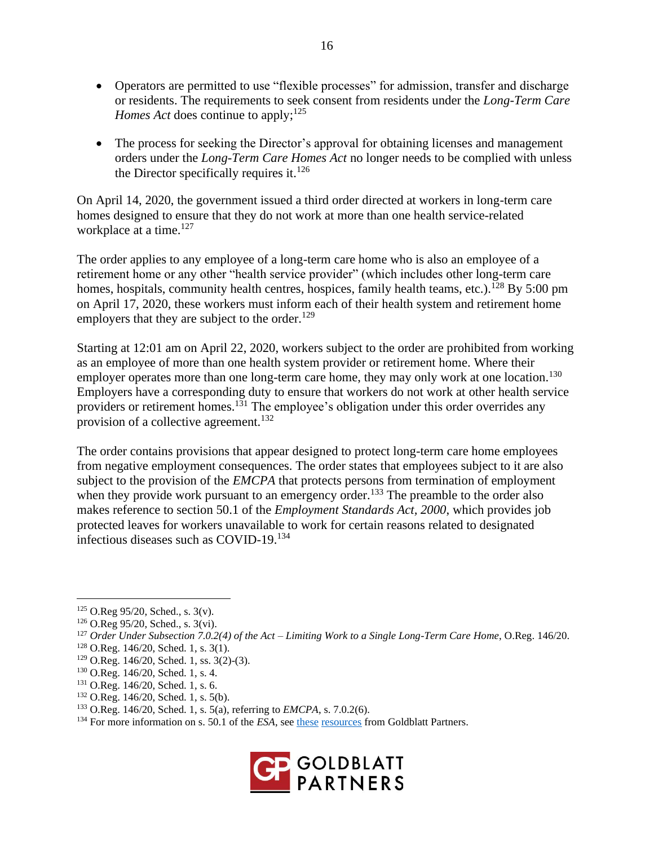- Operators are permitted to use "flexible processes" for admission, transfer and discharge or residents. The requirements to seek consent from residents under the *Long-Term Care Homes Act* does continue to apply:<sup>125</sup>
- The process for seeking the Director's approval for obtaining licenses and management orders under the *Long-Term Care Homes Act* no longer needs to be complied with unless the Director specifically requires it.<sup>126</sup>

On April 14, 2020, the government issued a third order directed at workers in long-term care homes designed to ensure that they do not work at more than one health service-related workplace at a time. $127$ 

The order applies to any employee of a long-term care home who is also an employee of a retirement home or any other "health service provider" (which includes other long-term care homes, hospitals, community health centres, hospices, family health teams, etc.).<sup>128</sup> By 5:00 pm on April 17, 2020, these workers must inform each of their health system and retirement home employers that they are subject to the order.<sup>129</sup>

Starting at 12:01 am on April 22, 2020, workers subject to the order are prohibited from working as an employee of more than one health system provider or retirement home. Where their employer operates more than one long-term care home, they may only work at one location.<sup>130</sup> Employers have a corresponding duty to ensure that workers do not work at other health service providers or retirement homes.<sup>131</sup> The employee's obligation under this order overrides any provision of a collective agreement.<sup>132</sup>

The order contains provisions that appear designed to protect long-term care home employees from negative employment consequences. The order states that employees subject to it are also subject to the provision of the *EMCPA* that protects persons from termination of employment when they provide work pursuant to an emergency order.<sup>133</sup> The preamble to the order also makes reference to section 50.1 of the *Employment Standards Act, 2000*, which provides job protected leaves for workers unavailable to work for certain reasons related to designated infectious diseases such as  $\text{COVID-19.}^{134}$ 

- <sup>131</sup> O.Reg. 146/20, Sched. 1, s. 6.
- $132$  O.Reg. 146/20, Sched. 1, s. 5(b).
- <sup>133</sup> O.Reg. 146/20, Sched. 1, s. 5(a), referring to *EMCPA*, s. 7.0.2(6).
- <sup>134</sup> For more information on s. 50.1 of the *ESA*, see [these](https://goldblattpartners.com/blog/experience/publications/post/dan-sheppard-reviews-bill-186/) [resources](https://goldblattpartners.com/wp-content/uploads/COPING-WITH-COVID-March-31.pdf) from Goldblatt Partners.



<sup>125</sup> O.Reg 95/20, Sched., s. 3(v).

<sup>126</sup> O.Reg 95/20, Sched., s. 3(vi).

<sup>127</sup> *Order Under Subsection 7.0.2(4) of the Act – Limiting Work to a Single Long-Term Care Home*, O.Reg. 146/20.

 $128$  O.Reg. 146/20, Sched. 1, s. 3(1).

<sup>129</sup> O.Reg. 146/20, Sched. 1, ss. 3(2)-(3).

<sup>130</sup> O.Reg. 146/20, Sched. 1, s. 4.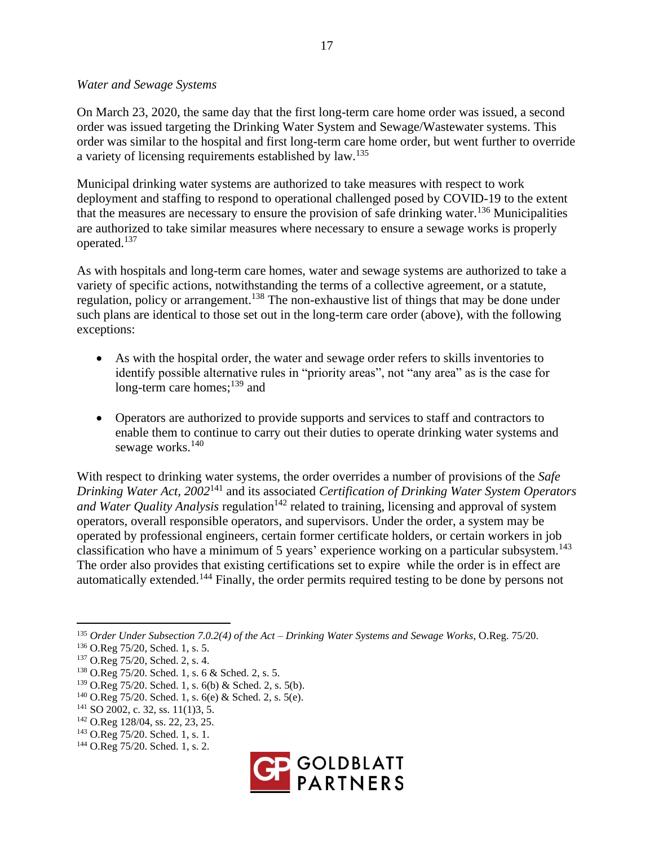#### *Water and Sewage Systems*

On March 23, 2020, the same day that the first long-term care home order was issued, a second order was issued targeting the Drinking Water System and Sewage/Wastewater systems. This order was similar to the hospital and first long-term care home order, but went further to override a variety of licensing requirements established by law.<sup>135</sup>

Municipal drinking water systems are authorized to take measures with respect to work deployment and staffing to respond to operational challenged posed by COVID-19 to the extent that the measures are necessary to ensure the provision of safe drinking water.<sup>136</sup> Municipalities are authorized to take similar measures where necessary to ensure a sewage works is properly operated.<sup>137</sup>

As with hospitals and long-term care homes, water and sewage systems are authorized to take a variety of specific actions, notwithstanding the terms of a collective agreement, or a statute, regulation, policy or arrangement.<sup>138</sup> The non-exhaustive list of things that may be done under such plans are identical to those set out in the long-term care order (above), with the following exceptions:

- As with the hospital order, the water and sewage order refers to skills inventories to identify possible alternative rules in "priority areas", not "any area" as is the case for long-term care homes;<sup>139</sup> and
- Operators are authorized to provide supports and services to staff and contractors to enable them to continue to carry out their duties to operate drinking water systems and sewage works.<sup>140</sup>

With respect to drinking water systems, the order overrides a number of provisions of the *Safe Drinking Water Act, 2002*<sup>141</sup> and its associated *Certification of Drinking Water System Operators and Water Quality Analysis* regulation<sup>142</sup> related to training, licensing and approval of system operators, overall responsible operators, and supervisors. Under the order, a system may be operated by professional engineers, certain former certificate holders, or certain workers in job classification who have a minimum of 5 years' experience working on a particular subsystem.<sup>143</sup> The order also provides that existing certifications set to expire while the order is in effect are automatically extended.<sup>144</sup> Finally, the order permits required testing to be done by persons not

<sup>144</sup> O.Reg 75/20. Sched. 1, s. 2.



<sup>135</sup> *Order Under Subsection 7.0.2(4) of the Act – Drinking Water Systems and Sewage Works*, O.Reg. 75/20.

<sup>136</sup> O.Reg 75/20, Sched. 1, s. 5.

<sup>137</sup> O.Reg 75/20, Sched. 2, s. 4.

<sup>138</sup> O.Reg 75/20. Sched. 1, s. 6 & Sched. 2, s. 5.

<sup>139</sup> O.Reg 75/20. Sched. 1, s. 6(b) & Sched. 2, s. 5(b).

 $140$  O.Reg 75/20. Sched. 1, s. 6(e) & Sched. 2, s. 5(e).

<sup>141</sup> SO 2002, c. 32, ss. 11(1)3, 5.

<sup>142</sup> O.Reg 128/04, ss. 22, 23, 25.

<sup>143</sup> O.Reg 75/20. Sched. 1, s. 1.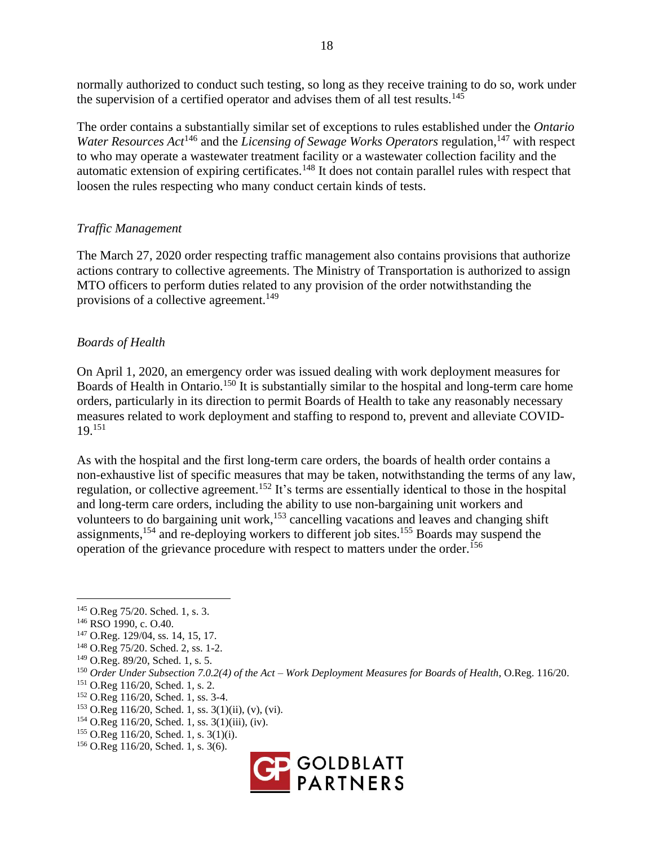normally authorized to conduct such testing, so long as they receive training to do so, work under the supervision of a certified operator and advises them of all test results.<sup>145</sup>

The order contains a substantially similar set of exceptions to rules established under the *Ontario Water Resources Act*<sup>146</sup> and the *Licensing of Sewage Works Operators* regulation,<sup>147</sup> with respect to who may operate a wastewater treatment facility or a wastewater collection facility and the automatic extension of expiring certificates.<sup>148</sup> It does not contain parallel rules with respect that loosen the rules respecting who many conduct certain kinds of tests.

## *Traffic Management*

The March 27, 2020 order respecting traffic management also contains provisions that authorize actions contrary to collective agreements. The Ministry of Transportation is authorized to assign MTO officers to perform duties related to any provision of the order notwithstanding the provisions of a collective agreement.<sup>149</sup>

## *Boards of Health*

On April 1, 2020, an emergency order was issued dealing with work deployment measures for Boards of Health in Ontario.<sup>150</sup> It is substantially similar to the hospital and long-term care home orders, particularly in its direction to permit Boards of Health to take any reasonably necessary measures related to work deployment and staffing to respond to, prevent and alleviate COVID-19.<sup>151</sup>

As with the hospital and the first long-term care orders, the boards of health order contains a non-exhaustive list of specific measures that may be taken, notwithstanding the terms of any law, regulation, or collective agreement.<sup>152</sup> It's terms are essentially identical to those in the hospital and long-term care orders, including the ability to use non-bargaining unit workers and volunteers to do bargaining unit work,<sup>153</sup> cancelling vacations and leaves and changing shift assignments, <sup>154</sup> and re-deploying workers to different job sites.<sup>155</sup> Boards may suspend the operation of the grievance procedure with respect to matters under the order.<sup>156</sup>

- <sup>155</sup> O.Reg 116/20, Sched. 1, s. 3(1)(i).
- <sup>156</sup> O.Reg 116/20, Sched. 1, s. 3(6).



<sup>145</sup> O.Reg 75/20. Sched. 1, s. 3.

<sup>146</sup> RSO 1990, c. O.40.

<sup>147</sup> O.Reg. 129/04, ss. 14, 15, 17.

<sup>148</sup> O.Reg 75/20. Sched. 2, ss. 1-2.

<sup>149</sup> O.Reg. 89/20, Sched. 1, s. 5.

<sup>150</sup> *Order Under Subsection 7.0.2(4) of the Act – Work Deployment Measures for Boards of Health*, O.Reg. 116/20.

<sup>151</sup> O.Reg 116/20, Sched. 1, s. 2.

<sup>&</sup>lt;sup>152</sup> O.Reg 116/20, Sched. 1, ss. 3-4.

 $153$  O.Reg 116/20, Sched. 1, ss. 3(1)(ii), (v), (vi).

<sup>154</sup> O.Reg 116/20, Sched. 1, ss. 3(1)(iii), (iv).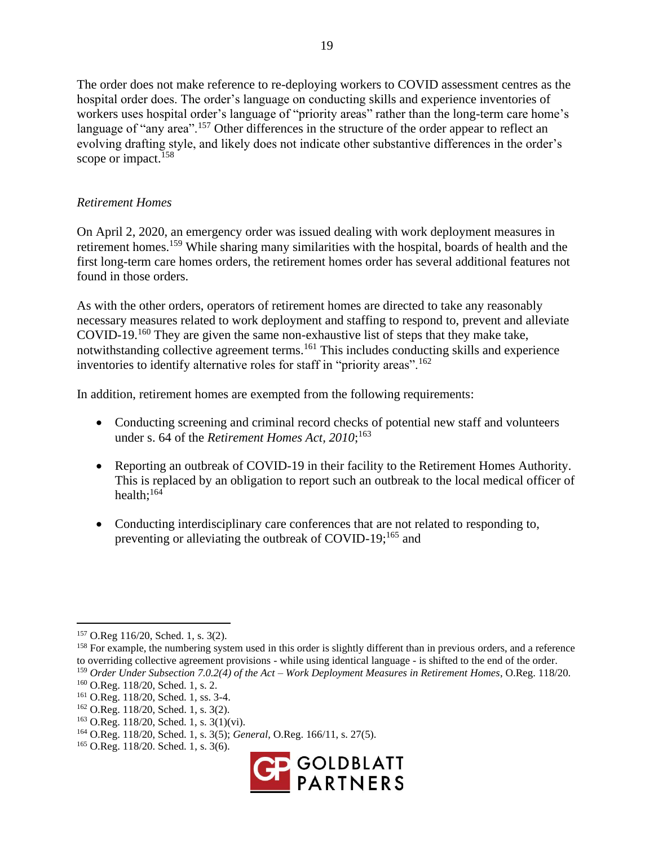The order does not make reference to re-deploying workers to COVID assessment centres as the hospital order does. The order's language on conducting skills and experience inventories of workers uses hospital order's language of "priority areas" rather than the long-term care home's language of "any area".<sup>157</sup> Other differences in the structure of the order appear to reflect an evolving drafting style, and likely does not indicate other substantive differences in the order's scope or impact.<sup>158</sup>

#### *Retirement Homes*

On April 2, 2020, an emergency order was issued dealing with work deployment measures in retirement homes.<sup>159</sup> While sharing many similarities with the hospital, boards of health and the first long-term care homes orders, the retirement homes order has several additional features not found in those orders.

As with the other orders, operators of retirement homes are directed to take any reasonably necessary measures related to work deployment and staffing to respond to, prevent and alleviate COVID-19.<sup>160</sup> They are given the same non-exhaustive list of steps that they make take, notwithstanding collective agreement terms.<sup>161</sup> This includes conducting skills and experience inventories to identify alternative roles for staff in "priority areas".<sup>162</sup>

In addition, retirement homes are exempted from the following requirements:

- Conducting screening and criminal record checks of potential new staff and volunteers under s. 64 of the *Retirement Homes Act, 2010*; 163
- Reporting an outbreak of COVID-19 in their facility to the Retirement Homes Authority. This is replaced by an obligation to report such an outbreak to the local medical officer of health: $164$
- Conducting interdisciplinary care conferences that are not related to responding to, preventing or alleviating the outbreak of COVID-19;<sup>165</sup> and

<sup>165</sup> O.Reg. 118/20. Sched. 1, s. 3(6).



<sup>157</sup> O.Reg 116/20, Sched. 1, s. 3(2).

<sup>&</sup>lt;sup>158</sup> For example, the numbering system used in this order is slightly different than in previous orders, and a reference to overriding collective agreement provisions - while using identical language - is shifted to the end of the order. <sup>159</sup> *Order Under Subsection 7.0.2(4) of the Act – Work Deployment Measures in Retirement Homes*, O.Reg. 118/20.

<sup>160</sup> O.Reg. 118/20, Sched. 1, s. 2.

<sup>161</sup> O.Reg. 118/20, Sched. 1, ss. 3-4.

<sup>162</sup> O.Reg. 118/20, Sched. 1, s. 3(2).

<sup>163</sup> O.Reg. 118/20, Sched. 1, s. 3(1)(vi).

<sup>164</sup> O.Reg. 118/20, Sched. 1, s. 3(5); *General*, O.Reg. 166/11, s. 27(5).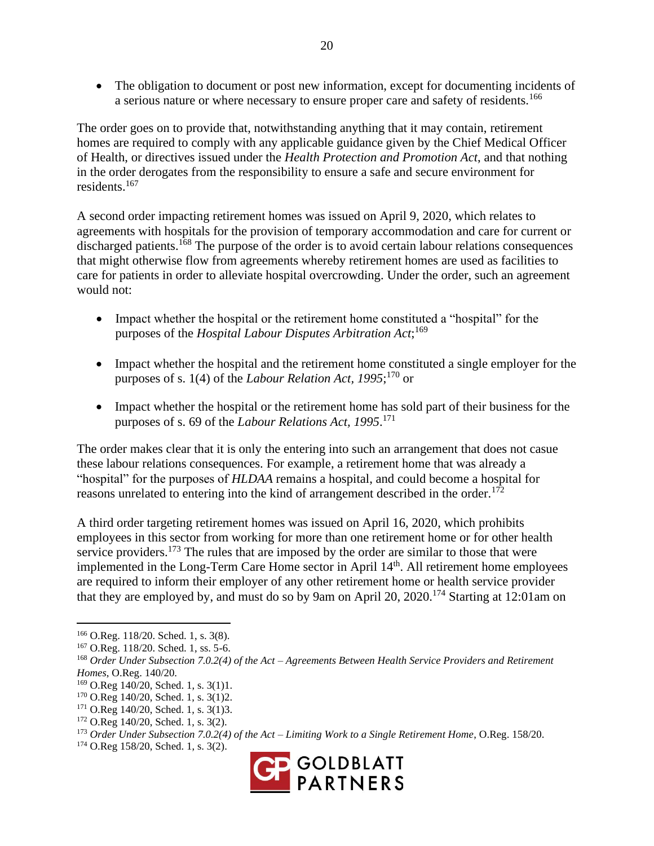• The obligation to document or post new information, except for documenting incidents of a serious nature or where necessary to ensure proper care and safety of residents.<sup>166</sup>

The order goes on to provide that, notwithstanding anything that it may contain, retirement homes are required to comply with any applicable guidance given by the Chief Medical Officer of Health, or directives issued under the *Health Protection and Promotion Act*, and that nothing in the order derogates from the responsibility to ensure a safe and secure environment for residents.<sup>167</sup>

A second order impacting retirement homes was issued on April 9, 2020, which relates to agreements with hospitals for the provision of temporary accommodation and care for current or discharged patients.<sup>168</sup> The purpose of the order is to avoid certain labour relations consequences that might otherwise flow from agreements whereby retirement homes are used as facilities to care for patients in order to alleviate hospital overcrowding. Under the order, such an agreement would not:

- Impact whether the hospital or the retirement home constituted a "hospital" for the purposes of the *Hospital Labour Disputes Arbitration Act*; 169
- Impact whether the hospital and the retirement home constituted a single employer for the purposes of s. 1(4) of the *Labour Relation Act, 1995*; <sup>170</sup> or
- Impact whether the hospital or the retirement home has sold part of their business for the purposes of s. 69 of the *Labour Relations Act, 1995*. 171

The order makes clear that it is only the entering into such an arrangement that does not casue these labour relations consequences. For example, a retirement home that was already a "hospital" for the purposes of *HLDAA* remains a hospital, and could become a hospital for reasons unrelated to entering into the kind of arrangement described in the order.<sup>172</sup>

A third order targeting retirement homes was issued on April 16, 2020, which prohibits employees in this sector from working for more than one retirement home or for other health service providers.<sup>173</sup> The rules that are imposed by the order are similar to those that were implemented in the Long-Term Care Home sector in April 14<sup>th</sup>. All retirement home employees are required to inform their employer of any other retirement home or health service provider that they are employed by, and must do so by 9am on April 20, 2020.<sup>174</sup> Starting at 12:01am on

<sup>174</sup> O.Reg 158/20, Sched. 1, s. 3(2).



<sup>166</sup> O.Reg. 118/20. Sched. 1, s. 3(8).

<sup>167</sup> O.Reg. 118/20. Sched. 1, ss. 5-6.

<sup>168</sup> *Order Under Subsection 7.0.2(4) of the Act – Agreements Between Health Service Providers and Retirement Homes*, O.Reg. 140/20.

<sup>169</sup> O.Reg 140/20, Sched. 1, s. 3(1)1.

<sup>170</sup> O.Reg 140/20, Sched. 1, s. 3(1)2.

<sup>&</sup>lt;sup>171</sup> O.Reg 140/20, Sched. 1, s. 3(1)3.

<sup>172</sup> O.Reg 140/20, Sched. 1, s. 3(2).

<sup>173</sup> *Order Under Subsection 7.0.2(4) of the Act – Limiting Work to a Single Retirement Home*, O.Reg. 158/20.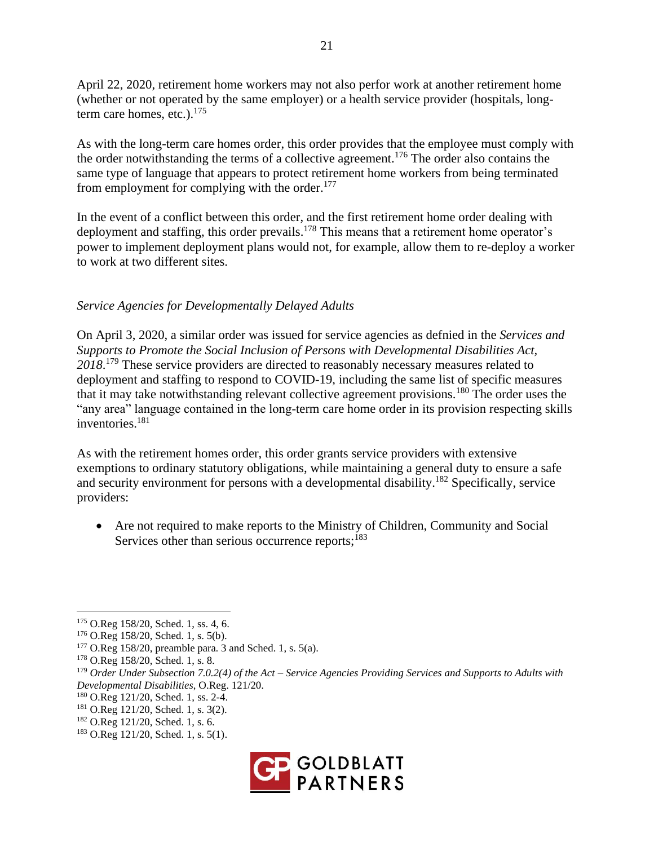April 22, 2020, retirement home workers may not also perfor work at another retirement home (whether or not operated by the same employer) or a health service provider (hospitals, longterm care homes, etc.). $175$ 

As with the long-term care homes order, this order provides that the employee must comply with the order notwithstanding the terms of a collective agreement. <sup>176</sup> The order also contains the same type of language that appears to protect retirement home workers from being terminated from employment for complying with the order.<sup>177</sup>

In the event of a conflict between this order, and the first retirement home order dealing with deployment and staffing, this order prevails.<sup>178</sup> This means that a retirement home operator's power to implement deployment plans would not, for example, allow them to re-deploy a worker to work at two different sites.

## *Service Agencies for Developmentally Delayed Adults*

On April 3, 2020, a similar order was issued for service agencies as defnied in the *Services and Supports to Promote the Social Inclusion of Persons with Developmental Disabilities Act, 2018*. <sup>179</sup> These service providers are directed to reasonably necessary measures related to deployment and staffing to respond to COVID-19, including the same list of specific measures that it may take notwithstanding relevant collective agreement provisions.<sup>180</sup> The order uses the "any area" language contained in the long-term care home order in its provision respecting skills inventories.<sup>181</sup>

As with the retirement homes order, this order grants service providers with extensive exemptions to ordinary statutory obligations, while maintaining a general duty to ensure a safe and security environment for persons with a developmental disability.<sup>182</sup> Specifically, service providers:

• Are not required to make reports to the Ministry of Children, Community and Social Services other than serious occurrence reports; $183$ 

<sup>183</sup> O.Reg 121/20, Sched. 1, s. 5(1).



<sup>175</sup> O.Reg 158/20, Sched. 1, ss. 4, 6.

<sup>176</sup> O.Reg 158/20, Sched. 1, s. 5(b).

 $177$  O.Reg 158/20, preamble para. 3 and Sched. 1, s. 5(a).

<sup>178</sup> O.Reg 158/20, Sched. 1, s. 8.

<sup>179</sup> *Order Under Subsection 7.0.2(4) of the Act – Service Agencies Providing Services and Supports to Adults with Developmental Disabilities*, O.Reg. 121/20.

<sup>180</sup> O.Reg 121/20, Sched. 1, ss. 2-4.

<sup>181</sup> O.Reg 121/20, Sched. 1, s. 3(2).

<sup>182</sup> O.Reg 121/20, Sched. 1, s. 6.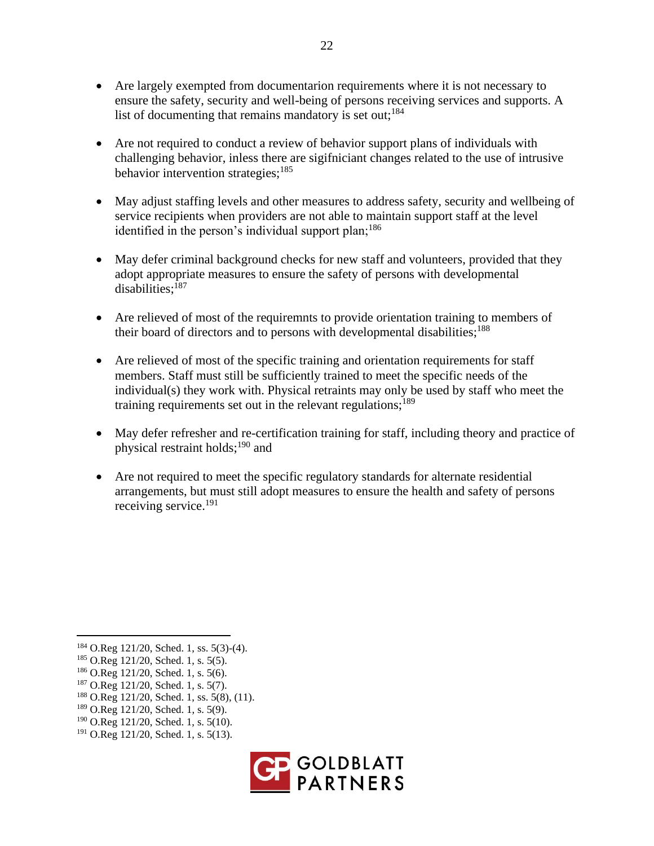- Are largely exempted from documentarion requirements where it is not necessary to ensure the safety, security and well-being of persons receiving services and supports. A list of documenting that remains mandatory is set out;  $184$
- Are not required to conduct a review of behavior support plans of individuals with challenging behavior, inless there are sigifniciant changes related to the use of intrusive behavior intervention strategies; $185$
- May adjust staffing levels and other measures to address safety, security and wellbeing of service recipients when providers are not able to maintain support staff at the level identified in the person's individual support plan;  $186$
- May defer criminal background checks for new staff and volunteers, provided that they adopt appropriate measures to ensure the safety of persons with developmental disabilities:<sup>187</sup>
- Are relieved of most of the requiremnts to provide orientation training to members of their board of directors and to persons with developmental disabilities;<sup>188</sup>
- Are relieved of most of the specific training and orientation requirements for staff members. Staff must still be sufficiently trained to meet the specific needs of the individual(s) they work with. Physical retraints may only be used by staff who meet the training requirements set out in the relevant regulations;<sup>189</sup>
- May defer refresher and re-certification training for staff, including theory and practice of physical restraint holds;<sup>190</sup> and
- Are not required to meet the specific regulatory standards for alternate residential arrangements, but must still adopt measures to ensure the health and safety of persons receiving service. 191

<sup>191</sup> O.Reg 121/20, Sched. 1, s. 5(13).



<sup>184</sup> O.Reg 121/20, Sched. 1, ss. 5(3)-(4).

<sup>185</sup> O.Reg 121/20, Sched. 1, s. 5(5).

<sup>186</sup> O.Reg 121/20, Sched. 1, s. 5(6).

<sup>187</sup> O.Reg 121/20, Sched. 1, s. 5(7).

 $188$  O.Reg 121/20, Sched. 1, ss. 5(8), (11).

<sup>189</sup> O.Reg 121/20, Sched. 1, s. 5(9).

<sup>190</sup> O.Reg 121/20, Sched. 1, s. 5(10).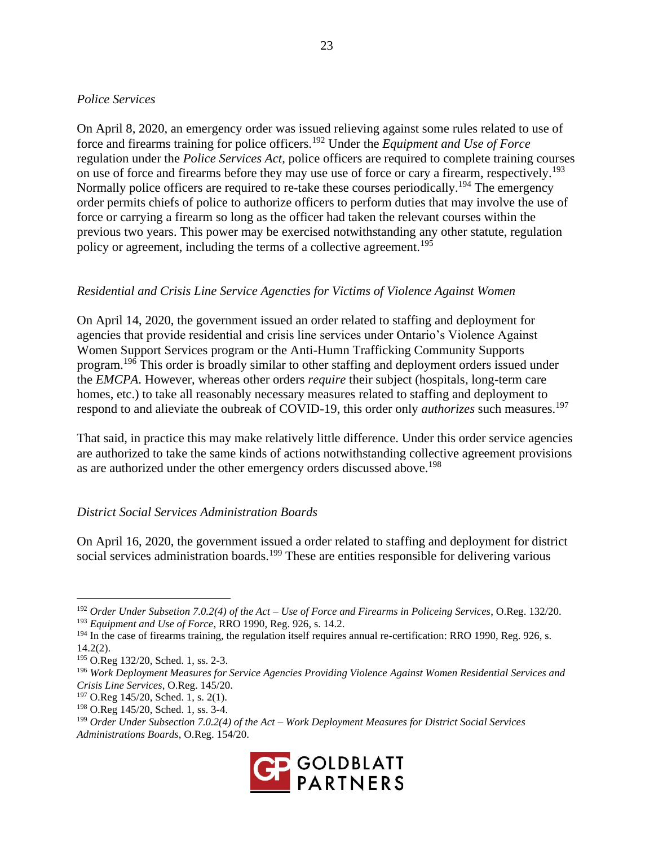#### *Police Services*

On April 8, 2020, an emergency order was issued relieving against some rules related to use of force and firearms training for police officers.<sup>192</sup> Under the *Equipment and Use of Force* regulation under the *Police Services Act*, police officers are required to complete training courses on use of force and firearms before they may use use of force or cary a firearm, respectively.<sup>193</sup> Normally police officers are required to re-take these courses periodically.<sup>194</sup> The emergency order permits chiefs of police to authorize officers to perform duties that may involve the use of force or carrying a firearm so long as the officer had taken the relevant courses within the previous two years. This power may be exercised notwithstanding any other statute, regulation policy or agreement, including the terms of a collective agreement.<sup>195</sup>

#### *Residential and Crisis Line Service Agencties for Victims of Violence Against Women*

On April 14, 2020, the government issued an order related to staffing and deployment for agencies that provide residential and crisis line services under Ontario's Violence Against Women Support Services program or the Anti-Humn Trafficking Community Supports program.<sup>196</sup> This order is broadly similar to other staffing and deployment orders issued under the *EMCPA*. However, whereas other orders *require* their subject (hospitals, long-term care homes, etc.) to take all reasonably necessary measures related to staffing and deployment to respond to and alieviate the oubreak of COVID-19, this order only *authorizes* such measures.<sup>197</sup>

That said, in practice this may make relatively little difference. Under this order service agencies are authorized to take the same kinds of actions notwithstanding collective agreement provisions as are authorized under the other emergency orders discussed above.<sup>198</sup>

#### *District Social Services Administration Boards*

On April 16, 2020, the government issued a order related to staffing and deployment for district social services administration boards.<sup>199</sup> These are entities responsible for delivering various

<sup>199</sup> *Order Under Subsection 7.0.2(4) of the Act – Work Deployment Measures for District Social Services Administrations Boards*, O.Reg. 154/20.



<sup>192</sup> *Order Under Subsetion 7.0.2(4) of the Act – Use of Force and Firearms in Policeing Services*, O.Reg. 132/20.

<sup>193</sup> *Equipment and Use of Force*, RRO 1990, Reg. 926, s. 14.2.

<sup>&</sup>lt;sup>194</sup> In the case of firearms training, the regulation itself requires annual re-certification: RRO 1990, Reg. 926, s. 14.2(2).

<sup>195</sup> O.Reg 132/20, Sched. 1, ss. 2-3.

<sup>196</sup> *Work Deployment Measures for Service Agencies Providing Violence Against Women Residential Services and Crisis Line Services*, O.Reg. 145/20.

<sup>&</sup>lt;sup>197</sup> O.Reg 145/20, Sched. 1, s. 2(1).

<sup>198</sup> O.Reg 145/20, Sched. 1, ss. 3-4.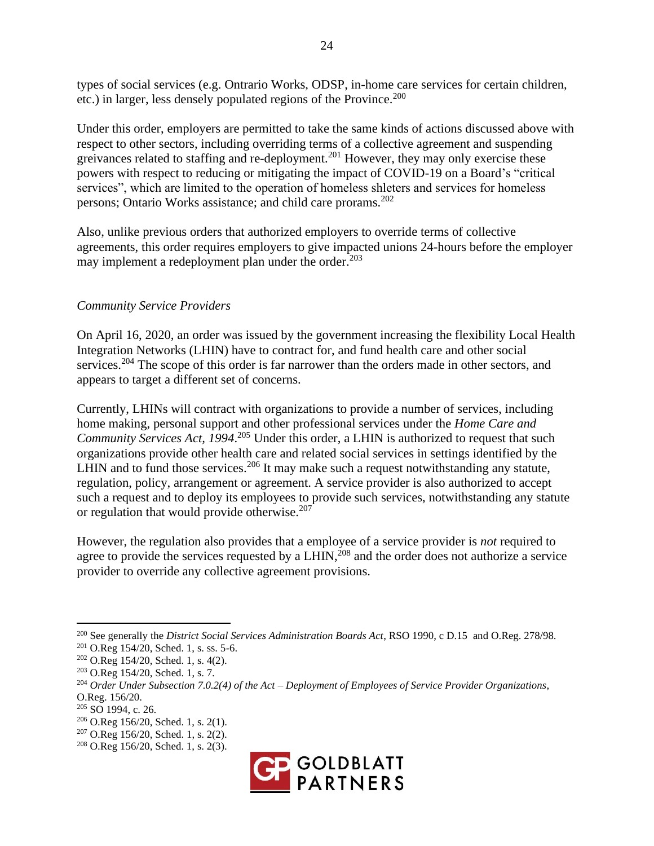types of social services (e.g. Ontrario Works, ODSP, in-home care services for certain children, etc.) in larger, less densely populated regions of the Province.<sup>200</sup>

Under this order, employers are permitted to take the same kinds of actions discussed above with respect to other sectors, including overriding terms of a collective agreement and suspending greivances related to staffing and re-deployment.<sup>201</sup> However, they may only exercise these powers with respect to reducing or mitigating the impact of COVID-19 on a Board's "critical services", which are limited to the operation of homeless shleters and services for homeless persons; Ontario Works assistance; and child care prorams.<sup>202</sup>

Also, unlike previous orders that authorized employers to override terms of collective agreements, this order requires employers to give impacted unions 24-hours before the employer may implement a redeployment plan under the order.<sup>203</sup>

#### *Community Service Providers*

On April 16, 2020, an order was issued by the government increasing the flexibility Local Health Integration Networks (LHIN) have to contract for, and fund health care and other social services.<sup>204</sup> The scope of this order is far narrower than the orders made in other sectors, and appears to target a different set of concerns.

Currently, LHINs will contract with organizations to provide a number of services, including home making, personal support and other professional services under the *Home Care and*  Community Services Act, 1994.<sup>205</sup> Under this order, a LHIN is authorized to request that such organizations provide other health care and related social services in settings identified by the LHIN and to fund those services.<sup>206</sup> It may make such a request notwithstanding any statute, regulation, policy, arrangement or agreement. A service provider is also authorized to accept such a request and to deploy its employees to provide such services, notwithstanding any statute or regulation that would provide otherwise.<sup>207</sup>

However, the regulation also provides that a employee of a service provider is *not* required to agree to provide the services requested by a LHIN,  $^{208}$  and the order does not authorize a service provider to override any collective agreement provisions.

<sup>208</sup> O.Reg 156/20, Sched. 1, s. 2(3).



<sup>200</sup> See generally the *District Social Services Administration Boards Act*, RSO 1990, c D.15 and O.Reg. 278/98.

<sup>201</sup> O.Reg 154/20, Sched. 1, s. ss. 5-6.

 $202$  O.Reg 154/20, Sched. 1, s. 4(2).

<sup>203</sup> O.Reg 154/20, Sched. 1, s. 7.

<sup>204</sup> *Order Under Subsection 7.0.2(4) of the Act – Deployment of Employees of Service Provider Organizations*, O.Reg. 156/20.

<sup>205</sup> SO 1994, c. 26.

<sup>206</sup> O.Reg 156/20, Sched. 1, s. 2(1).

<sup>207</sup> O.Reg 156/20, Sched. 1, s. 2(2).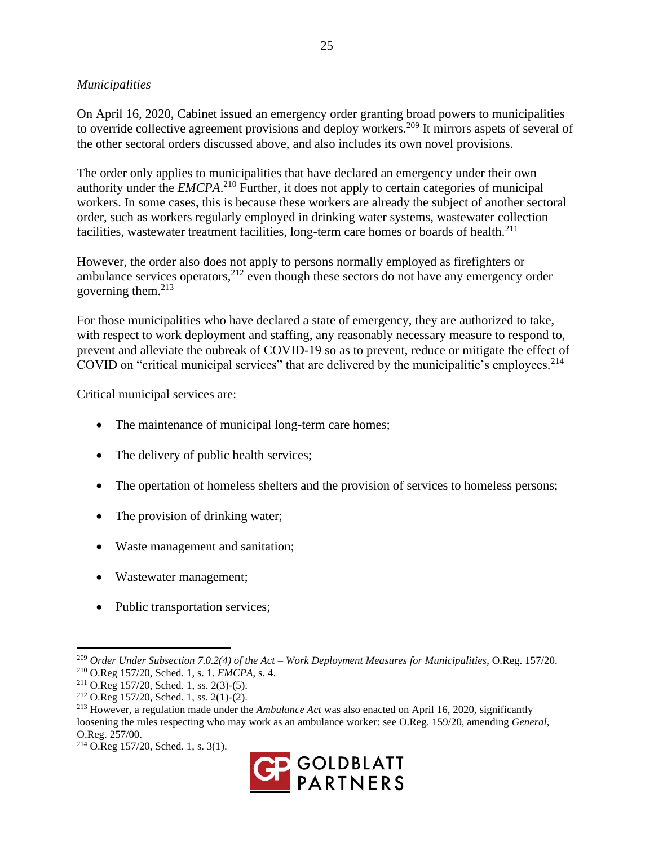## *Municipalities*

On April 16, 2020, Cabinet issued an emergency order granting broad powers to municipalities to override collective agreement provisions and deploy workers.<sup>209</sup> It mirrors aspets of several of the other sectoral orders discussed above, and also includes its own novel provisions.

The order only applies to municipalities that have declared an emergency under their own authority under the *EMCPA*. <sup>210</sup> Further, it does not apply to certain categories of municipal workers. In some cases, this is because these workers are already the subject of another sectoral order, such as workers regularly employed in drinking water systems, wastewater collection facilities, wastewater treatment facilities, long-term care homes or boards of health.<sup>211</sup>

However, the order also does not apply to persons normally employed as firefighters or ambulance services operators,  $2^{12}$  even though these sectors do not have any emergency order governing them.<sup>213</sup>

For those municipalities who have declared a state of emergency, they are authorized to take, with respect to work deployment and staffing, any reasonably necessary measure to respond to, prevent and alleviate the oubreak of COVID-19 so as to prevent, reduce or mitigate the effect of COVID on "critical municipal services" that are delivered by the municipalitie's employees.<sup>214</sup>

Critical municipal services are:

- The maintenance of municipal long-term care homes;
- The delivery of public health services;
- The opertation of homeless shelters and the provision of services to homeless persons;
- The provision of drinking water;
- Waste management and sanitation;
- Wastewater management;
- Public transportation services;

<sup>214</sup> O.Reg 157/20, Sched. 1, s. 3(1).



<sup>209</sup> *Order Under Subsection 7.0.2(4) of the Act – Work Deployment Measures for Municipalities*, O.Reg. 157/20. <sup>210</sup> O.Reg 157/20, Sched. 1, s. 1. *EMCPA*, s. 4.

 $211$  O.Reg 157/20, Sched. 1, ss. 2(3)-(5).

 $2^{12}$  O.Reg 157/20, Sched. 1, ss. 2(1)-(2).

<sup>213</sup> However, a regulation made under the *Ambulance Act* was also enacted on April 16, 2020, significantly loosening the rules respecting who may work as an ambulance worker: see O.Reg. 159/20, amending *General*, O.Reg. 257/00.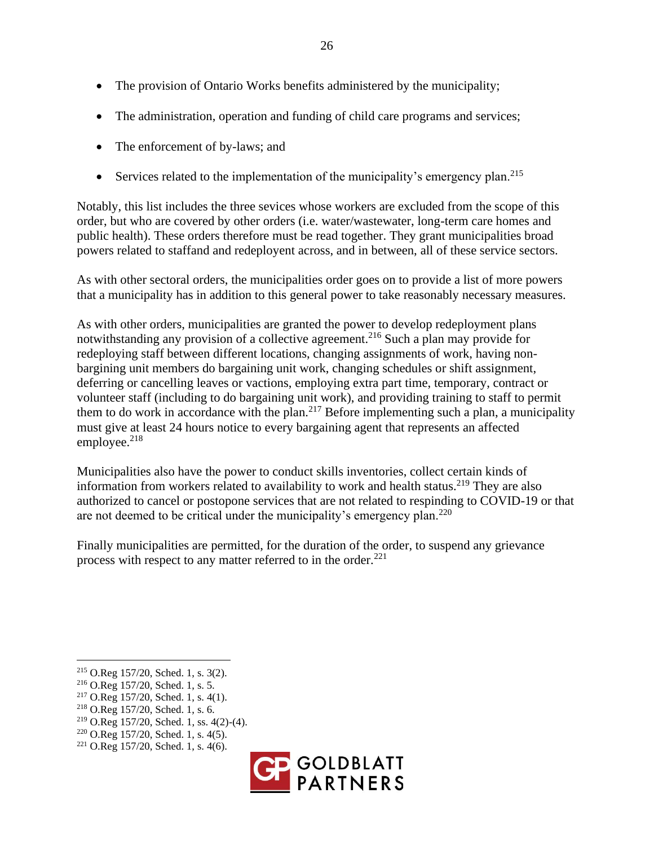- The provision of Ontario Works benefits administered by the municipality;
- The administration, operation and funding of child care programs and services;
- The enforcement of by-laws; and
- Services related to the implementation of the municipality's emergency plan.<sup>215</sup>

Notably, this list includes the three sevices whose workers are excluded from the scope of this order, but who are covered by other orders (i.e. water/wastewater, long-term care homes and public health). These orders therefore must be read together. They grant municipalities broad powers related to staffand and redeployent across, and in between, all of these service sectors.

As with other sectoral orders, the municipalities order goes on to provide a list of more powers that a municipality has in addition to this general power to take reasonably necessary measures.

As with other orders, municipalities are granted the power to develop redeployment plans notwithstanding any provision of a collective agreement.<sup>216</sup> Such a plan may provide for redeploying staff between different locations, changing assignments of work, having nonbargining unit members do bargaining unit work, changing schedules or shift assignment, deferring or cancelling leaves or vactions, employing extra part time, temporary, contract or volunteer staff (including to do bargaining unit work), and providing training to staff to permit them to do work in accordance with the plan.<sup>217</sup> Before implementing such a plan, a municipality must give at least 24 hours notice to every bargaining agent that represents an affected employee. $218$ 

Municipalities also have the power to conduct skills inventories, collect certain kinds of information from workers related to availability to work and health status.<sup>219</sup> They are also authorized to cancel or postopone services that are not related to respinding to COVID-19 or that are not deemed to be critical under the municipality's emergency plan.<sup>220</sup>

Finally municipalities are permitted, for the duration of the order, to suspend any grievance process with respect to any matter referred to in the order. $^{221}$ 

 $221$  O.Reg 157/20, Sched. 1, s. 4(6).



<sup>215</sup> O.Reg 157/20, Sched. 1, s. 3(2).

<sup>216</sup> O.Reg 157/20, Sched. 1, s. 5.

 $217$  O.Reg 157/20, Sched. 1, s. 4(1).

<sup>218</sup> O.Reg 157/20, Sched. 1, s. 6.

<sup>219</sup> O.Reg 157/20, Sched. 1, ss. 4(2)-(4).

<sup>220</sup> O.Reg 157/20, Sched. 1, s. 4(5).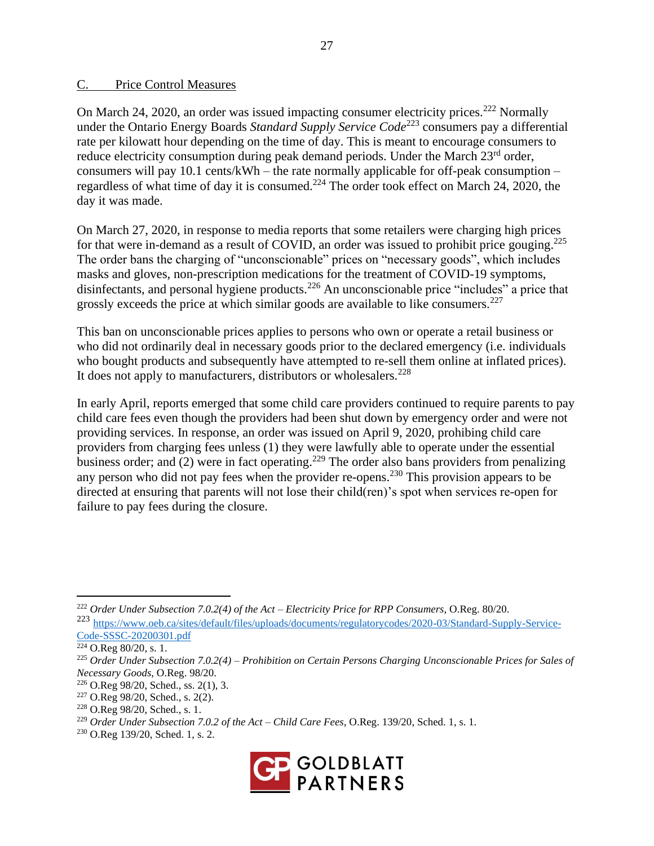#### C. Price Control Measures

On March 24, 2020, an order was issued impacting consumer electricity prices.<sup>222</sup> Normally under the Ontario Energy Boards *Standard Supply Service Code*<sup>223</sup> consumers pay a differential rate per kilowatt hour depending on the time of day. This is meant to encourage consumers to reduce electricity consumption during peak demand periods. Under the March 23<sup>rd</sup> order, consumers will pay 10.1 cents/kWh – the rate normally applicable for off-peak consumption – regardless of what time of day it is consumed.<sup>224</sup> The order took effect on March 24, 2020, the day it was made.

On March 27, 2020, in response to media reports that some retailers were charging high prices for that were in-demand as a result of COVID, an order was issued to prohibit price gouging.<sup>225</sup> The order bans the charging of "unconscionable" prices on "necessary goods", which includes masks and gloves, non-prescription medications for the treatment of COVID-19 symptoms, disinfectants, and personal hygiene products.<sup>226</sup> An unconscionable price "includes" a price that grossly exceeds the price at which similar goods are available to like consumers.<sup>227</sup>

This ban on unconscionable prices applies to persons who own or operate a retail business or who did not ordinarily deal in necessary goods prior to the declared emergency (i.e. individuals who bought products and subsequently have attempted to re-sell them online at inflated prices). It does not apply to manufacturers, distributors or wholesalers.<sup>228</sup>

In early April, reports emerged that some child care providers continued to require parents to pay child care fees even though the providers had been shut down by emergency order and were not providing services. In response, an order was issued on April 9, 2020, prohibing child care providers from charging fees unless (1) they were lawfully able to operate under the essential business order; and  $(2)$  were in fact operating.<sup>229</sup> The order also bans providers from penalizing any person who did not pay fees when the provider re-opens.<sup>230</sup> This provision appears to be directed at ensuring that parents will not lose their child(ren)'s spot when services re-open for failure to pay fees during the closure.

<sup>230</sup> O.Reg 139/20, Sched. 1, s. 2.



<sup>222</sup> *Order Under Subsection 7.0.2(4) of the Act – Electricity Price for RPP Consumers*, O.Reg. 80/20.

<sup>223</sup> [https://www.oeb.ca/sites/default/files/uploads/documents/regulatorycodes/2020-03/Standard-Supply-Service-](https://www.oeb.ca/sites/default/files/uploads/documents/regulatorycodes/2020-03/Standard-Supply-Service-Code-SSSC-20200301.pdf)[Code-SSSC-20200301.pdf](https://www.oeb.ca/sites/default/files/uploads/documents/regulatorycodes/2020-03/Standard-Supply-Service-Code-SSSC-20200301.pdf)

 $224$  O.Reg 80/20, s. 1.

<sup>225</sup> *Order Under Subsection 7.0.2(4) – Prohibition on Certain Persons Charging Unconscionable Prices for Sales of Necessary Goods*, O.Reg. 98/20.

<sup>226</sup> O.Reg 98/20, Sched., ss. 2(1), 3.

<sup>227</sup> O.Reg 98/20, Sched., s. 2(2).

<sup>228</sup> O.Reg 98/20, Sched., s. 1.

<sup>229</sup> *Order Under Subsection 7.0.2 of the Act – Child Care Fees*, O.Reg. 139/20, Sched. 1, s. 1.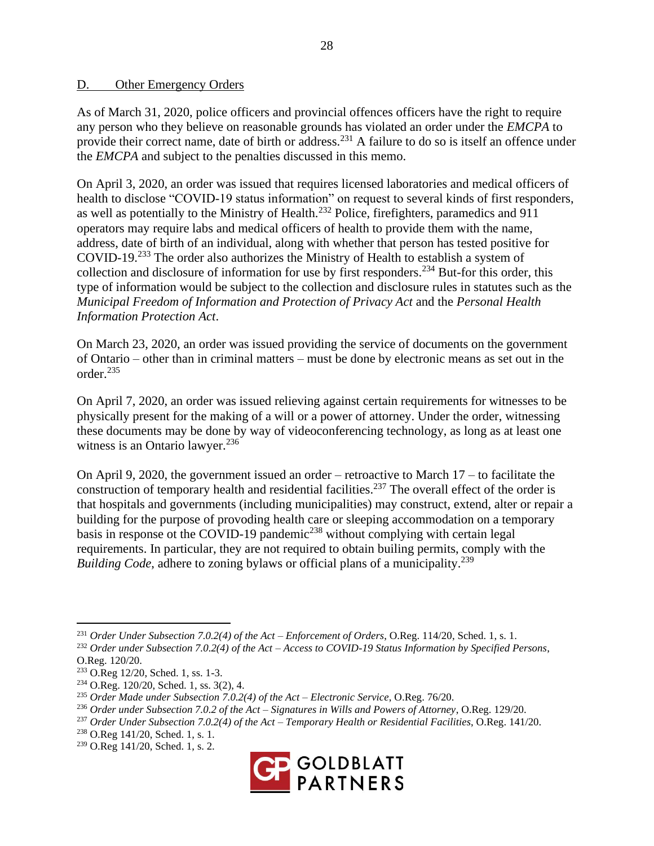#### D. Other Emergency Orders

As of March 31, 2020, police officers and provincial offences officers have the right to require any person who they believe on reasonable grounds has violated an order under the *EMCPA* to provide their correct name, date of birth or address.<sup>231</sup> A failure to do so is itself an offence under the *EMCPA* and subject to the penalties discussed in this memo.

On April 3, 2020, an order was issued that requires licensed laboratories and medical officers of health to disclose "COVID-19 status information" on request to several kinds of first responders, as well as potentially to the Ministry of Health.<sup>232</sup> Police, firefighters, paramedics and 911 operators may require labs and medical officers of health to provide them with the name, address, date of birth of an individual, along with whether that person has tested positive for COVID-19.<sup>233</sup> The order also authorizes the Ministry of Health to establish a system of collection and disclosure of information for use by first responders.<sup>234</sup> But-for this order, this type of information would be subject to the collection and disclosure rules in statutes such as the *Municipal Freedom of Information and Protection of Privacy Act* and the *Personal Health Information Protection Act*.

On March 23, 2020, an order was issued providing the service of documents on the government of Ontario – other than in criminal matters – must be done by electronic means as set out in the order.<sup>235</sup>

On April 7, 2020, an order was issued relieving against certain requirements for witnesses to be physically present for the making of a will or a power of attorney. Under the order, witnessing these documents may be done by way of videoconferencing technology, as long as at least one witness is an Ontario lawyer.<sup>236</sup>

On April 9, 2020, the government issued an order – retroactive to March 17 – to facilitate the construction of temporary health and residential facilities.<sup>237</sup> The overall effect of the order is that hospitals and governments (including municipalities) may construct, extend, alter or repair a building for the purpose of provoding health care or sleeping accommodation on a temporary basis in response ot the COVID-19 pandemic<sup>238</sup> without complying with certain legal requirements. In particular, they are not required to obtain builing permits, comply with the *Building Code*, adhere to zoning bylaws or official plans of a municipality.<sup>239</sup>

<sup>239</sup> O.Reg 141/20, Sched. 1, s. 2.



<sup>231</sup> *Order Under Subsection 7.0.2(4) of the Act – Enforcement of Orders*, O.Reg. 114/20, Sched. 1, s. 1.

<sup>232</sup> *Order under Subsection 7.0.2(4) of the Act – Access to COVID-19 Status Information by Specified Persons*, O.Reg. 120/20.

<sup>233</sup> O.Reg 12/20, Sched. 1, ss. 1-3.

<sup>234</sup> O.Reg. 120/20, Sched. 1, ss. 3(2), 4.

<sup>235</sup> *Order Made under Subsection 7.0.2(4) of the Act – Electronic Service*, O.Reg. 76/20.

<sup>236</sup> *Order under Subsection 7.0.2 of the Act – Signatures in Wills and Powers of Attorney*, O.Reg. 129/20.

<sup>237</sup> *Order Under Subsection 7.0.2(4) of the Act – Temporary Health or Residential Facilities*, O.Reg. 141/20.

<sup>238</sup> O.Reg 141/20, Sched. 1, s. 1.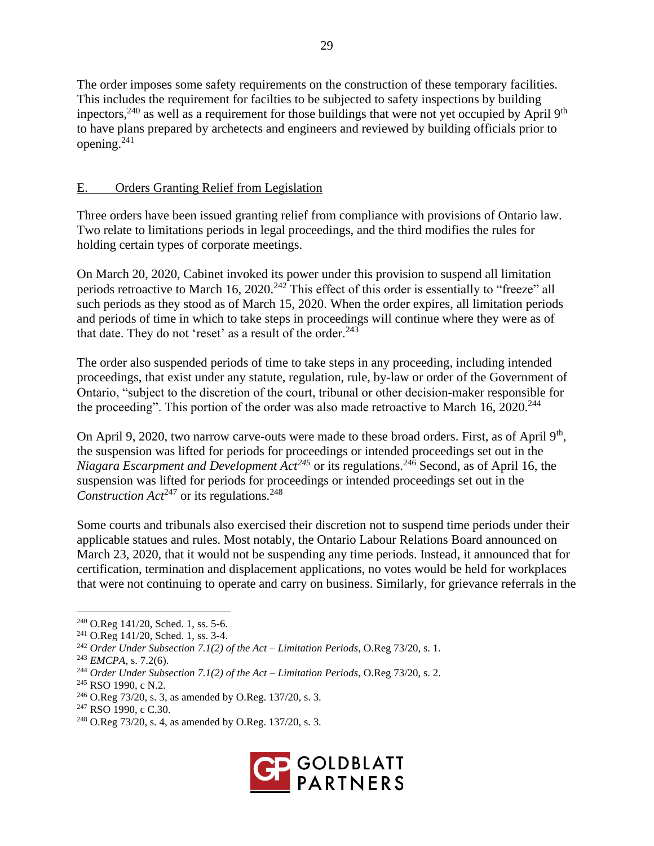The order imposes some safety requirements on the construction of these temporary facilities. This includes the requirement for facilties to be subjected to safety inspections by building inpectors,  $240$  as well as a requirement for those buildings that were not yet occupied by April 9<sup>th</sup> to have plans prepared by archetects and engineers and reviewed by building officials prior to opening.<sup>241</sup>

## E. Orders Granting Relief from Legislation

Three orders have been issued granting relief from compliance with provisions of Ontario law. Two relate to limitations periods in legal proceedings, and the third modifies the rules for holding certain types of corporate meetings.

On March 20, 2020, Cabinet invoked its power under this provision to suspend all limitation periods retroactive to March 16, 2020.<sup>242</sup> This effect of this order is essentially to "freeze" all such periods as they stood as of March 15, 2020. When the order expires, all limitation periods and periods of time in which to take steps in proceedings will continue where they were as of that date. They do not 'reset' as a result of the order. $243$ 

The order also suspended periods of time to take steps in any proceeding, including intended proceedings, that exist under any statute, regulation, rule, by-law or order of the Government of Ontario, "subject to the discretion of the court, tribunal or other decision-maker responsible for the proceeding". This portion of the order was also made retroactive to March 16,  $2020^{244}$ 

On April 9, 2020, two narrow carve-outs were made to these broad orders. First, as of April 9<sup>th</sup>, the suspension was lifted for periods for proceedings or intended proceedings set out in the *Niagara Escarpment and Development Act<sup>245</sup>* or its regulations.<sup>246</sup> Second, as of April 16, the suspension was lifted for periods for proceedings or intended proceedings set out in the *Construction Act*<sup>247</sup> or its regulations.<sup>248</sup>

Some courts and tribunals also exercised their discretion not to suspend time periods under their applicable statues and rules. Most notably, the Ontario Labour Relations Board announced on March 23, 2020, that it would not be suspending any time periods. Instead, it announced that for certification, termination and displacement applications, no votes would be held for workplaces that were not continuing to operate and carry on business. Similarly, for grievance referrals in the

<sup>248</sup> O.Reg 73/20, s. 4, as amended by O.Reg. 137/20, s. 3.



<sup>240</sup> O.Reg 141/20, Sched. 1, ss. 5-6.

<sup>241</sup> O.Reg 141/20, Sched. 1, ss. 3-4.

<sup>242</sup> *Order Under Subsection 7.1(2) of the Act – Limitation Periods*, O.Reg 73/20, s. 1.

<sup>243</sup> *EMCPA*, s. 7.2(6).

<sup>244</sup> *Order Under Subsection 7.1(2) of the Act – Limitation Periods*, O.Reg 73/20, s. 2.

<sup>245</sup> RSO 1990, c N.2.

<sup>246</sup> O.Reg 73/20, s. 3, as amended by O.Reg. 137/20, s. 3.

<sup>247</sup> RSO 1990, c C.30.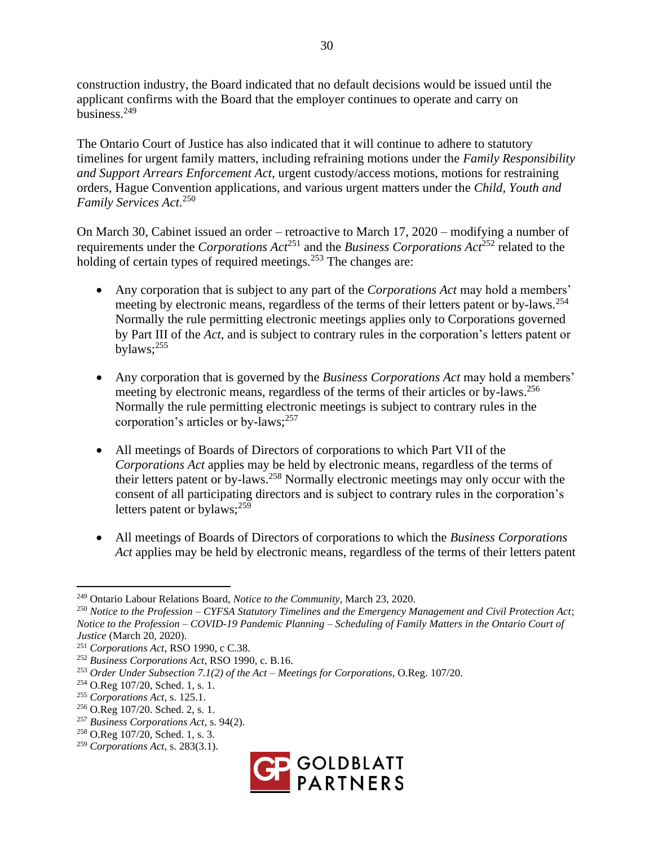construction industry, the Board indicated that no default decisions would be issued until the applicant confirms with the Board that the employer continues to operate and carry on business.<sup>249</sup>

The Ontario Court of Justice has also indicated that it will continue to adhere to statutory timelines for urgent family matters, including refraining motions under the *Family Responsibility and Support Arrears Enforcement Act*, urgent custody/access motions, motions for restraining orders, Hague Convention applications, and various urgent matters under the *Child, Youth and Family Services Act*. 250

On March 30, Cabinet issued an order – retroactive to March 17, 2020 – modifying a number of requirements under the *Corporations Act*<sup>251</sup> and the *Business Corporations Act*<sup>252</sup> related to the holding of certain types of required meetings.<sup>253</sup> The changes are:

- Any corporation that is subject to any part of the *Corporations Act* may hold a members' meeting by electronic means, regardless of the terms of their letters patent or by-laws.<sup>254</sup> Normally the rule permitting electronic meetings applies only to Corporations governed by Part III of the *Act*, and is subject to contrary rules in the corporation's letters patent or bylaws;<sup>255</sup>
- Any corporation that is governed by the *Business Corporations Act* may hold a members' meeting by electronic means, regardless of the terms of their articles or by-laws.<sup>256</sup> Normally the rule permitting electronic meetings is subject to contrary rules in the corporation's articles or by-laws; $^{257}$
- All meetings of Boards of Directors of corporations to which Part VII of the *Corporations Act* applies may be held by electronic means, regardless of the terms of their letters patent or by-laws. <sup>258</sup> Normally electronic meetings may only occur with the consent of all participating directors and is subject to contrary rules in the corporation's letters patent or bylaws; $^{259}$
- All meetings of Boards of Directors of corporations to which the *Business Corporations Act* applies may be held by electronic means, regardless of the terms of their letters patent

<sup>259</sup> *Corporations Act*, s. 283(3.1).



<sup>249</sup> Ontario Labour Relations Board, *Notice to the Community*, March 23, 2020.

<sup>250</sup> *Notice to the Profession – CYFSA Statutory Timelines and the Emergency Management and Civil Protection Act*; *Notice to the Profession – COVID-19 Pandemic Planning – Scheduling of Family Matters in the Ontario Court of Justice* (March 20, 2020).

<sup>251</sup> *Corporations Act*, RSO 1990, c C.38.

<sup>252</sup> *Business Corporations Act*, RSO 1990, c. B.16.

<sup>253</sup> *Order Under Subsection 7.1(2) of the Act – Meetings for Corporations*, O.Reg. 107/20.

<sup>254</sup> O.Reg 107/20, Sched. 1, s. 1.

<sup>255</sup> *Corporations Act*, s. 125.1.

<sup>256</sup> O.Reg 107/20. Sched. 2, s. 1.

<sup>257</sup> *Business Corporations Act*, s. 94(2).

<sup>258</sup> O.Reg 107/20, Sched. 1, s. 3.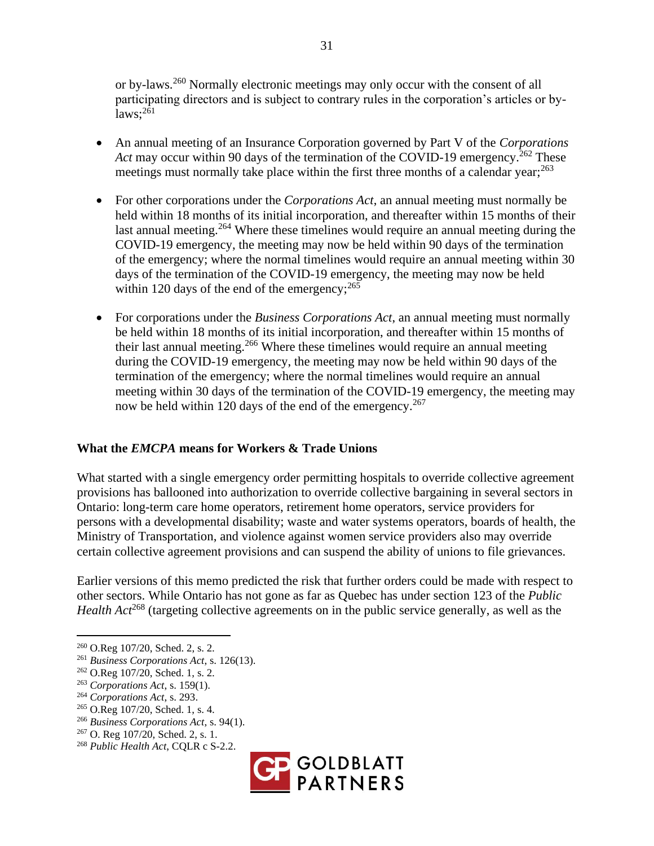or by-laws.<sup>260</sup> Normally electronic meetings may only occur with the consent of all participating directors and is subject to contrary rules in the corporation's articles or by $laws;^{261}$ 

- An annual meeting of an Insurance Corporation governed by Part V of the *Corporations Act* may occur within 90 days of the termination of the COVID-19 emergency.<sup>262</sup> These meetings must normally take place within the first three months of a calendar year; $^{263}$
- For other corporations under the *Corporations Act*, an annual meeting must normally be held within 18 months of its initial incorporation, and thereafter within 15 months of their last annual meeting.<sup>264</sup> Where these timelines would require an annual meeting during the COVID-19 emergency, the meeting may now be held within 90 days of the termination of the emergency; where the normal timelines would require an annual meeting within 30 days of the termination of the COVID-19 emergency, the meeting may now be held within 120 days of the end of the emergency;  $265$
- For corporations under the *Business Corporations Act*, an annual meeting must normally be held within 18 months of its initial incorporation, and thereafter within 15 months of their last annual meeting.<sup>266</sup> Where these timelines would require an annual meeting during the COVID-19 emergency, the meeting may now be held within 90 days of the termination of the emergency; where the normal timelines would require an annual meeting within 30 days of the termination of the COVID-19 emergency, the meeting may now be held within 120 days of the end of the emergency.<sup>267</sup>

## **What the** *EMCPA* **means for Workers & Trade Unions**

What started with a single emergency order permitting hospitals to override collective agreement provisions has ballooned into authorization to override collective bargaining in several sectors in Ontario: long-term care home operators, retirement home operators, service providers for persons with a developmental disability; waste and water systems operators, boards of health, the Ministry of Transportation, and violence against women service providers also may override certain collective agreement provisions and can suspend the ability of unions to file grievances.

Earlier versions of this memo predicted the risk that further orders could be made with respect to other sectors. While Ontario has not gone as far as Quebec has under section 123 of the *Public Health Act*<sup>268</sup> (targeting collective agreements on in the public service generally, as well as the

<sup>265</sup> O.Reg 107/20, Sched. 1, s. 4.



<sup>260</sup> O.Reg 107/20, Sched. 2, s. 2.

<sup>261</sup> *Business Corporations Act*, s. 126(13).

<sup>262</sup> O.Reg 107/20, Sched. 1, s. 2.

<sup>263</sup> *Corporations Act*, s. 159(1).

<sup>264</sup> *Corporations Act*, s. 293.

<sup>266</sup> *Business Corporations Act*, s. 94(1).

<sup>267</sup> O. Reg 107/20, Sched. 2, s. 1.

<sup>268</sup> *Public Health Act*, CQLR c S-2.2.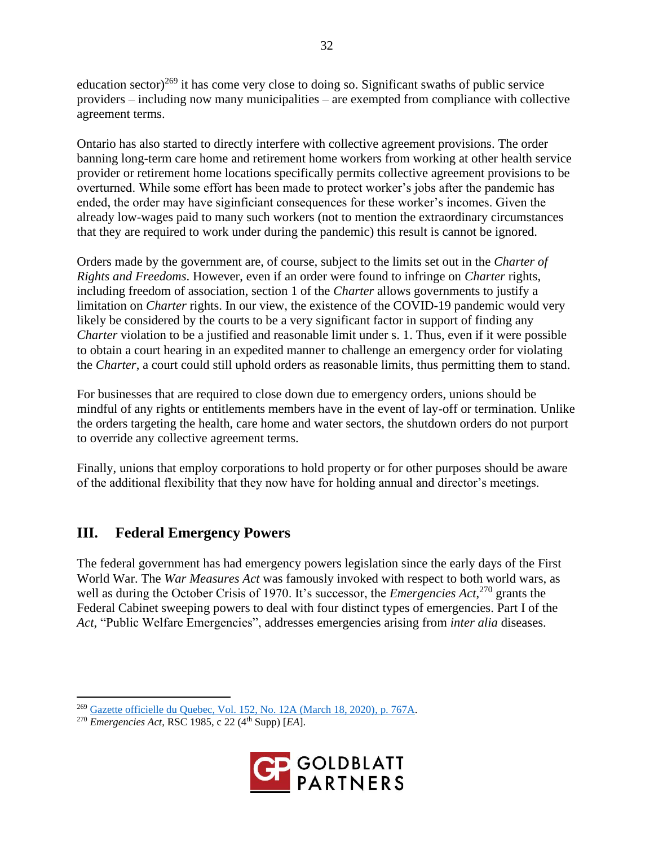education sector)<sup>269</sup> it has come very close to doing so. Significant swaths of public service providers – including now many municipalities – are exempted from compliance with collective agreement terms.

Ontario has also started to directly interfere with collective agreement provisions. The order banning long-term care home and retirement home workers from working at other health service provider or retirement home locations specifically permits collective agreement provisions to be overturned. While some effort has been made to protect worker's jobs after the pandemic has ended, the order may have siginficiant consequences for these worker's incomes. Given the already low-wages paid to many such workers (not to mention the extraordinary circumstances that they are required to work under during the pandemic) this result is cannot be ignored.

Orders made by the government are, of course, subject to the limits set out in the *Charter of Rights and Freedoms*. However, even if an order were found to infringe on *Charter* rights, including freedom of association, section 1 of the *Charter* allows governments to justify a limitation on *Charter* rights. In our view, the existence of the COVID-19 pandemic would very likely be considered by the courts to be a very significant factor in support of finding any *Charter* violation to be a justified and reasonable limit under s. 1. Thus, even if it were possible to obtain a court hearing in an expedited manner to challenge an emergency order for violating the *Charter*, a court could still uphold orders as reasonable limits, thus permitting them to stand.

For businesses that are required to close down due to emergency orders, unions should be mindful of any rights or entitlements members have in the event of lay-off or termination. Unlike the orders targeting the health, care home and water sectors, the shutdown orders do not purport to override any collective agreement terms.

Finally, unions that employ corporations to hold property or for other purposes should be aware of the additional flexibility that they now have for holding annual and director's meetings.

# **III. Federal Emergency Powers**

The federal government has had emergency powers legislation since the early days of the First World War. The *War Measures Act* was famously invoked with respect to both world wars, as well as during the October Crisis of 1970. It's successor, the *Emergencies Act*, <sup>270</sup> grants the Federal Cabinet sweeping powers to deal with four distinct types of emergencies. Part I of the *Act*, "Public Welfare Emergencies", addresses emergencies arising from *inter alia* diseases.

<sup>270</sup> *Emergencies Act*, RSC 1985, c 22 (4th Supp) [*EA*].



<sup>269</sup> [Gazette officielle du Quebec, Vol. 152, No. 12A \(March 18, 2020\), p. 767A.](http://www2.publicationsduquebec.gouv.qc.ca/dynamicSearch/telecharge.php?type=1&file=104303.pdf)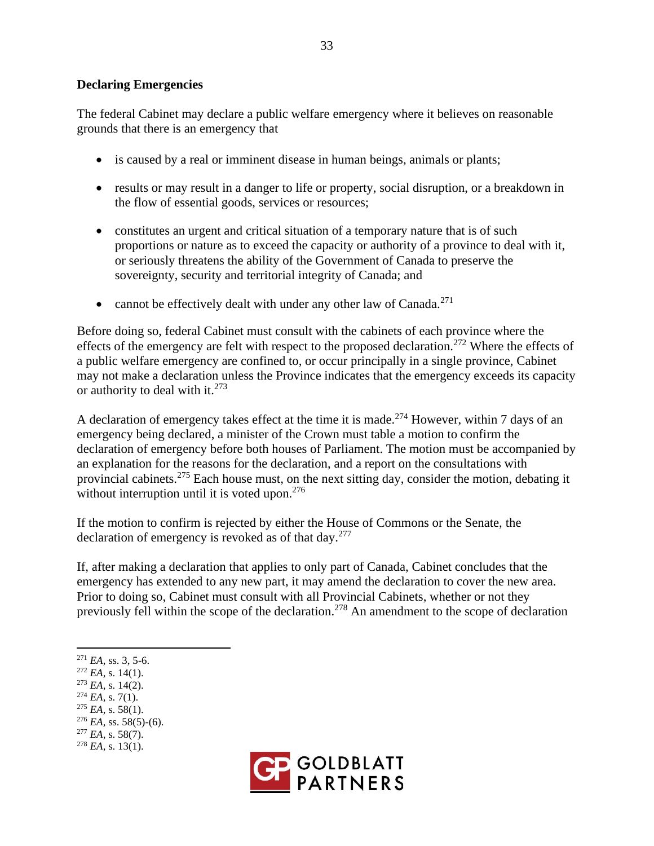#### **Declaring Emergencies**

The federal Cabinet may declare a public welfare emergency where it believes on reasonable grounds that there is an emergency that

- is caused by a real or imminent disease in human beings, animals or plants;
- results or may result in a danger to life or property, social disruption, or a breakdown in the flow of essential goods, services or resources;
- constitutes an urgent and critical situation of a temporary nature that is of such proportions or nature as to exceed the capacity or authority of a province to deal with it, or seriously threatens the ability of the Government of Canada to preserve the sovereignty, security and territorial integrity of Canada; and
- cannot be effectively dealt with under any other law of Canada.<sup>271</sup>

Before doing so, federal Cabinet must consult with the cabinets of each province where the effects of the emergency are felt with respect to the proposed declaration.<sup>272</sup> Where the effects of a public welfare emergency are confined to, or occur principally in a single province, Cabinet may not make a declaration unless the Province indicates that the emergency exceeds its capacity or authority to deal with it. $273$ 

A declaration of emergency takes effect at the time it is made.<sup>274</sup> However, within 7 days of an emergency being declared, a minister of the Crown must table a motion to confirm the declaration of emergency before both houses of Parliament. The motion must be accompanied by an explanation for the reasons for the declaration, and a report on the consultations with provincial cabinets.<sup>275</sup> Each house must, on the next sitting day, consider the motion, debating it without interruption until it is voted upon.<sup>276</sup>

If the motion to confirm is rejected by either the House of Commons or the Senate, the declaration of emergency is revoked as of that  $day$ <sup>277</sup>

If, after making a declaration that applies to only part of Canada, Cabinet concludes that the emergency has extended to any new part, it may amend the declaration to cover the new area. Prior to doing so, Cabinet must consult with all Provincial Cabinets, whether or not they previously fell within the scope of the declaration.<sup>278</sup> An amendment to the scope of declaration

- $271$  *EA*, ss, 3, 5-6.
- $^{272}$  *EA*, s. 14(1).
- <sup>273</sup> *EA*, s. 14(2).
- $^{274}$  *EA*, s. 7(1).
- $275$  *EA*, s. 58(1).
- <sup>276</sup> *EA*, ss. 58(5)-(6).
- <sup>277</sup> *EA*, s. 58(7).
- $^{278}$  *EA*, s. 13(1).

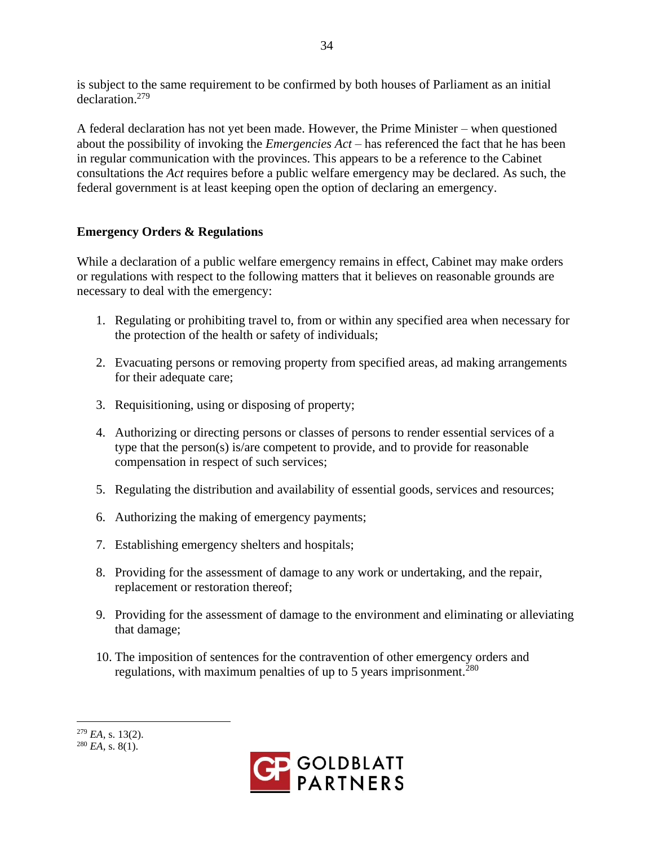is subject to the same requirement to be confirmed by both houses of Parliament as an initial declaration.<sup>279</sup>

A federal declaration has not yet been made. However, the Prime Minister – when questioned about the possibility of invoking the *Emergencies Act* – has referenced the fact that he has been in regular communication with the provinces. This appears to be a reference to the Cabinet consultations the *Act* requires before a public welfare emergency may be declared. As such, the federal government is at least keeping open the option of declaring an emergency.

## **Emergency Orders & Regulations**

While a declaration of a public welfare emergency remains in effect, Cabinet may make orders or regulations with respect to the following matters that it believes on reasonable grounds are necessary to deal with the emergency:

- 1. Regulating or prohibiting travel to, from or within any specified area when necessary for the protection of the health or safety of individuals;
- 2. Evacuating persons or removing property from specified areas, ad making arrangements for their adequate care;
- 3. Requisitioning, using or disposing of property;
- 4. Authorizing or directing persons or classes of persons to render essential services of a type that the person(s) is/are competent to provide, and to provide for reasonable compensation in respect of such services;
- 5. Regulating the distribution and availability of essential goods, services and resources;
- 6. Authorizing the making of emergency payments;
- 7. Establishing emergency shelters and hospitals;
- 8. Providing for the assessment of damage to any work or undertaking, and the repair, replacement or restoration thereof;
- 9. Providing for the assessment of damage to the environment and eliminating or alleviating that damage;
- 10. The imposition of sentences for the contravention of other emergency orders and regulations, with maximum penalties of up to 5 years imprisonment.<sup>280</sup>



<sup>279</sup> *EA*, s. 13(2).  $^{280}$  *EA*, s. 8(1).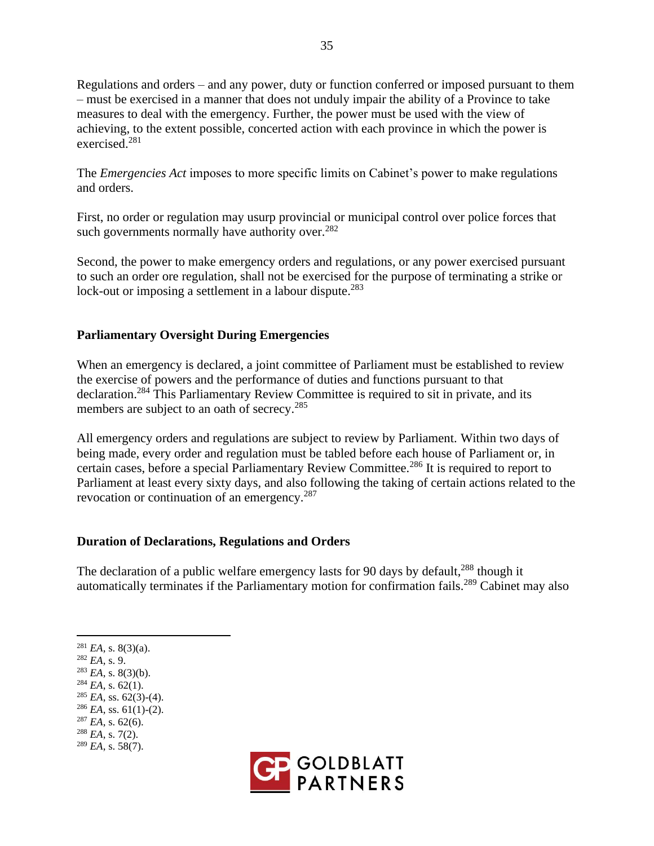Regulations and orders – and any power, duty or function conferred or imposed pursuant to them – must be exercised in a manner that does not unduly impair the ability of a Province to take measures to deal with the emergency. Further, the power must be used with the view of achieving, to the extent possible, concerted action with each province in which the power is exercised.<sup>281</sup>

The *Emergencies Act* imposes to more specific limits on Cabinet's power to make regulations and orders.

First, no order or regulation may usurp provincial or municipal control over police forces that such governments normally have authority over. $282$ 

Second, the power to make emergency orders and regulations, or any power exercised pursuant to such an order ore regulation, shall not be exercised for the purpose of terminating a strike or lock-out or imposing a settlement in a labour dispute.<sup>283</sup>

## **Parliamentary Oversight During Emergencies**

When an emergency is declared, a joint committee of Parliament must be established to review the exercise of powers and the performance of duties and functions pursuant to that declaration.<sup>284</sup> This Parliamentary Review Committee is required to sit in private, and its members are subject to an oath of secrecy.<sup>285</sup>

All emergency orders and regulations are subject to review by Parliament. Within two days of being made, every order and regulation must be tabled before each house of Parliament or, in certain cases, before a special Parliamentary Review Committee.<sup>286</sup> It is required to report to Parliament at least every sixty days, and also following the taking of certain actions related to the revocation or continuation of an emergency.<sup>287</sup>

#### **Duration of Declarations, Regulations and Orders**

The declaration of a public welfare emergency lasts for 90 days by default,<sup>288</sup> though it automatically terminates if the Parliamentary motion for confirmation fails.<sup>289</sup> Cabinet may also

<sup>281</sup> *EA*, s. 8(3)(a).

<sup>282</sup> *EA*, s. 9.

 $^{283}$  *EA*, s. 8(3)(b).

 $284$  *EA*, s. 62(1).

 $285$  *EA*, ss. 62(3)-(4).

 $286$  *EA*, ss. 61(1)-(2).

- $287$  *EA*, s. 62(6).
- <sup>288</sup> *EA*, s. 7(2). <sup>289</sup> *EA*, s. 58(7).

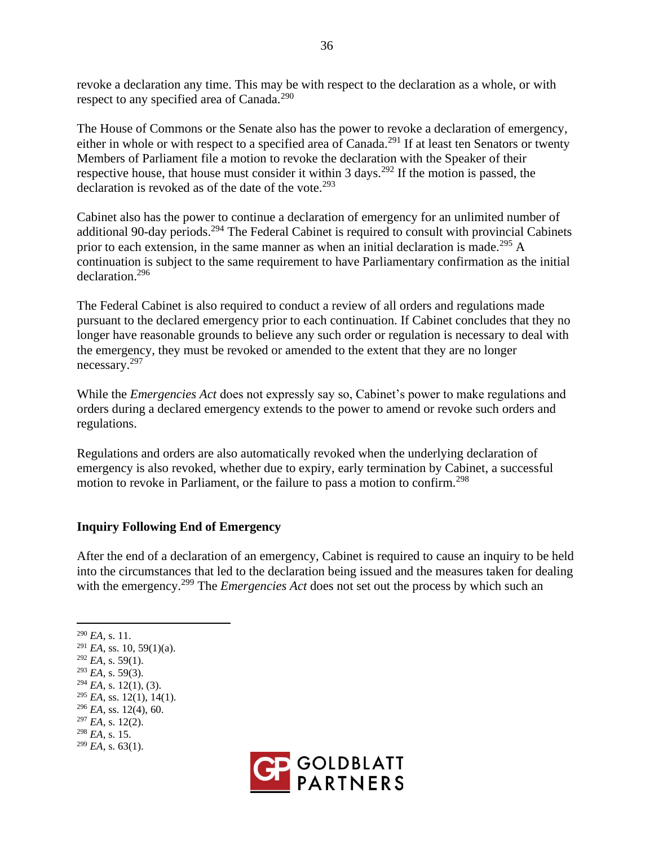revoke a declaration any time. This may be with respect to the declaration as a whole, or with respect to any specified area of Canada.<sup>290</sup>

The House of Commons or the Senate also has the power to revoke a declaration of emergency, either in whole or with respect to a specified area of Canada.<sup>291</sup> If at least ten Senators or twenty Members of Parliament file a motion to revoke the declaration with the Speaker of their respective house, that house must consider it within 3 days.<sup>292</sup> If the motion is passed, the declaration is revoked as of the date of the vote.<sup>293</sup>

Cabinet also has the power to continue a declaration of emergency for an unlimited number of additional 90-day periods.<sup>294</sup> The Federal Cabinet is required to consult with provincial Cabinets prior to each extension, in the same manner as when an initial declaration is made.<sup>295</sup> A continuation is subject to the same requirement to have Parliamentary confirmation as the initial declaration.<sup>296</sup>

The Federal Cabinet is also required to conduct a review of all orders and regulations made pursuant to the declared emergency prior to each continuation. If Cabinet concludes that they no longer have reasonable grounds to believe any such order or regulation is necessary to deal with the emergency, they must be revoked or amended to the extent that they are no longer necessary.<sup>297</sup>

While the *Emergencies Act* does not expressly say so, Cabinet's power to make regulations and orders during a declared emergency extends to the power to amend or revoke such orders and regulations.

Regulations and orders are also automatically revoked when the underlying declaration of emergency is also revoked, whether due to expiry, early termination by Cabinet, a successful motion to revoke in Parliament, or the failure to pass a motion to confirm.<sup>298</sup>

## **Inquiry Following End of Emergency**

After the end of a declaration of an emergency, Cabinet is required to cause an inquiry to be held into the circumstances that led to the declaration being issued and the measures taken for dealing with the emergency.<sup>299</sup> The *Emergencies Act* does not set out the process by which such an

<sup>290</sup> *EA*, s. 11.  $291$  *EA*, ss. 10, 59(1)(a).

 $292$  *EA*, s. 59(1).

<sup>293</sup> *EA*, s. 59(3).

 $294$  *EA*, s. 12(1), (3).

 $^{295}$  *EA*, ss. 12(1), 14(1).

<sup>296</sup> *EA*, ss. 12(4), 60.

<sup>297</sup> *EA*, s. 12(2).

<sup>298</sup> *EA*, s. 15.

 $^{299}$  *EA*, s. 63(1).

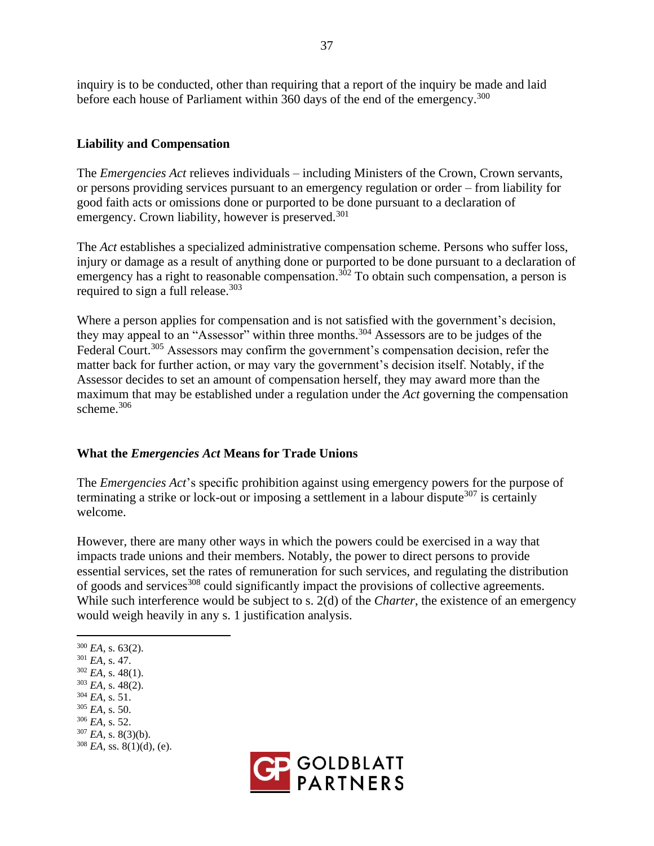inquiry is to be conducted, other than requiring that a report of the inquiry be made and laid before each house of Parliament within 360 days of the end of the emergency.<sup>300</sup>

## **Liability and Compensation**

The *Emergencies Act* relieves individuals – including Ministers of the Crown, Crown servants, or persons providing services pursuant to an emergency regulation or order – from liability for good faith acts or omissions done or purported to be done pursuant to a declaration of emergency. Crown liability, however is preserved.<sup>301</sup>

The *Act* establishes a specialized administrative compensation scheme. Persons who suffer loss, injury or damage as a result of anything done or purported to be done pursuant to a declaration of emergency has a right to reasonable compensation.<sup>302</sup> To obtain such compensation, a person is required to sign a full release.<sup>303</sup>

Where a person applies for compensation and is not satisfied with the government's decision, they may appeal to an "Assessor" within three months.<sup>304</sup> Assessors are to be judges of the Federal Court.<sup>305</sup> Assessors may confirm the government's compensation decision, refer the matter back for further action, or may vary the government's decision itself. Notably, if the Assessor decides to set an amount of compensation herself, they may award more than the maximum that may be established under a regulation under the *Act* governing the compensation scheme. 306

#### **What the** *Emergencies Act* **Means for Trade Unions**

The *Emergencies Act*'s specific prohibition against using emergency powers for the purpose of terminating a strike or lock-out or imposing a settlement in a labour dispute<sup>307</sup> is certainly welcome.

However, there are many other ways in which the powers could be exercised in a way that impacts trade unions and their members. Notably, the power to direct persons to provide essential services, set the rates of remuneration for such services, and regulating the distribution of goods and services<sup>308</sup> could significantly impact the provisions of collective agreements. While such interference would be subject to s. 2(d) of the *Charter*, the existence of an emergency would weigh heavily in any s. 1 justification analysis.

- <sup>301</sup> *EA*, s. 47.
- $302$  *EA*, s. 48(1).
- <sup>303</sup> *EA*, s. 48(2).
- <sup>304</sup> *EA*, s. 51.
- <sup>305</sup> *EA*, s. 50.
- <sup>306</sup> *EA*, s. 52.
- <sup>307</sup> *EA*, s. 8(3)(b).  $308$  *EA*, ss.  $8(1)(d)$ , (e).
- **GOLDBLATT**<br>**PARTNERS**

 $300$  *EA*, s. 63(2).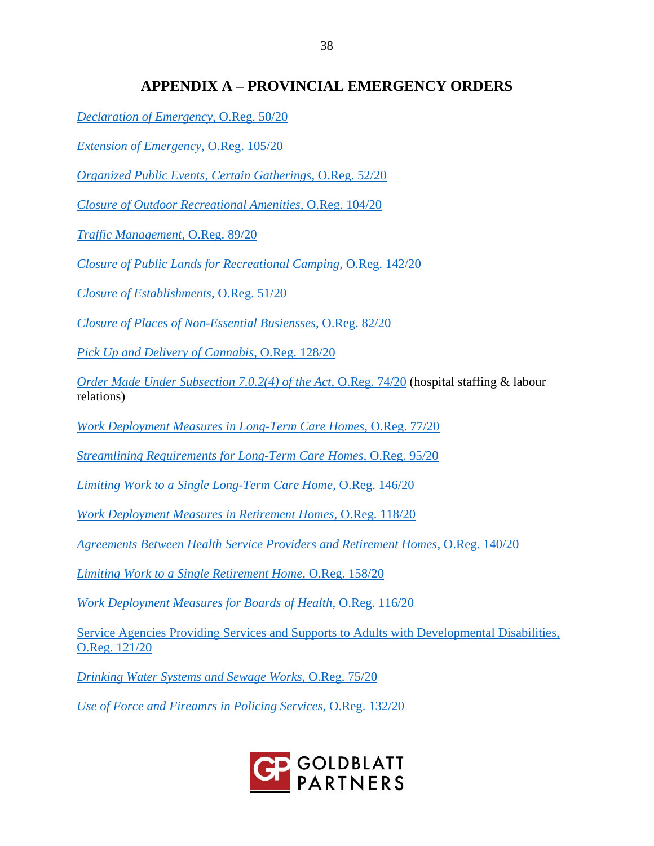# **APPENDIX A – PROVINCIAL EMERGENCY ORDERS**

*[Declaration of Emergency](https://www.ontario.ca/laws/regulation/200050?search=52%2F20)*, O.Reg. 50/20

*[Extension of Emergency](https://www.ontario.ca/laws/regulation/200105?search=52%2F20)*, O.Reg. 105/20

*[Organized Public Events, Certain Gatherings](https://www.ontario.ca/laws/regulation/200052?search=52%2F20)*, O.Reg. 52/20

*[Closure of Outdoor Recreational Amenities](https://www.ontario.ca/laws/regulation/200104?search=52%2F20)*, O.Reg. 104/20

*[Traffic Management](https://www.ontario.ca/laws/regulation/200089?search=52%2F20)*, O.Reg. 89/20

*[Closure of Public Lands for Recreational Camping](https://www.ontario.ca/laws/regulation/r20142)*, O.Reg. 142/20

*[Closure of Establishments](https://www.ontario.ca/laws/regulation/200051?search=52%2F20)*, O.Reg. 51/20

*[Closure of Places of Non-Essential Busiensses](https://www.ontario.ca/laws/regulation/200082?search=82%2F20)*, O.Reg. 82/20

*[Pick Up and Delivery of Cannabis](https://www.ontario.ca/laws/regulation/r20128)*, O.Reg. 128/20

*[Order Made Under Subsection 7.0.2\(4\) of the Act](https://www.ontario.ca/laws/regulation/200074?search=52%2F20)*, O.Reg. 74/20 (hospital staffing & labour relations)

*[Work Deployment Measures in Long-Term Care Homes](https://www.ontario.ca/laws/regulation/200077?search=52%2F20)*, O.Reg. 77/20

*[Streamlining Requirements for Long-Term Care Homes](https://www.ontario.ca/laws/regulation/200095?search=52%2F20)*, O.Reg. 95/20

*[Limiting Work to a Single Long-Term Care Home](https://www.ontario.ca/laws/regulation/r20146)*, O.Reg. 146/20

*[Work Deployment Measures in Retirement Homes](https://www.ontario.ca/laws/regulation/200077?search=77%2F20)*, O.Reg. 118/20

*[Agreements Between Health Service Providers and Retirement Homes](https://www.ontario.ca/laws/regulation/r20140)*, O.Reg. 140/20

*[Limiting Work to a Single Retirement Home](https://www.ontario.ca/laws/regulation/r20158)*, O.Reg. 158/20

*[Work Deployment Measures for Boards of Health](https://www.ontario.ca/laws/regulation/r20116)*, O.Reg. 116/20

[Service Agencies Providing Services and Supports to Adults with Developmental Disabilities,](https://www.ontario.ca/laws/regulation/r20121)  [O.Reg. 121/20](https://www.ontario.ca/laws/regulation/r20121)

*[Drinking Water Systems and Sewage Works](https://www.ontario.ca/laws/regulation/200075?search=52%2F20)*, O.Reg. 75/20

*[Use of Force and Fireamrs in Policing Services](https://www.ontario.ca/laws/regulation/r20132)*, O.Reg. 132/20